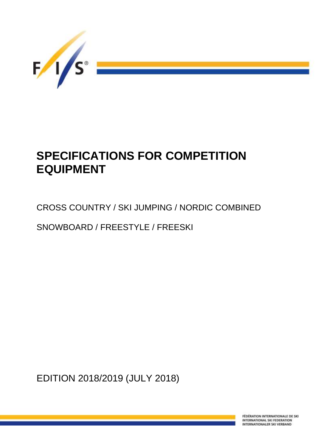

# **SPECIFICATIONS FOR COMPETITION EQUIPMENT**

# CROSS COUNTRY / SKI JUMPING / NORDIC COMBINED

SNOWBOARD / FREESTYLE / FREESKI

EDITION 2018/2019 (JULY 2018)

FÉDÉRATION INTERNATIONALE DE SKI INTERNATIONAL SKI FEDERATION INTERNATIONALER SKI VERBAND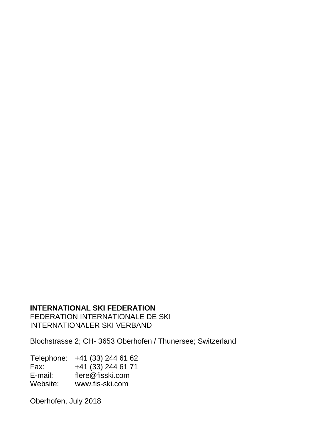### **INTERNATIONAL SKI FEDERATION**

FEDERATION INTERNATIONALE DE SKI INTERNATIONALER SKI VERBAND

Blochstrasse 2; CH- 3653 Oberhofen / Thunersee; Switzerland

Telephone: +41 (33) 244 61 62<br>Fax: +41 (33) 244 61 71  $+41$  (33) 244 61 71 E-mail: flere@fisski.com<br>Website: www.fis-ski.com www.fis-ski.com

Oberhofen, July 2018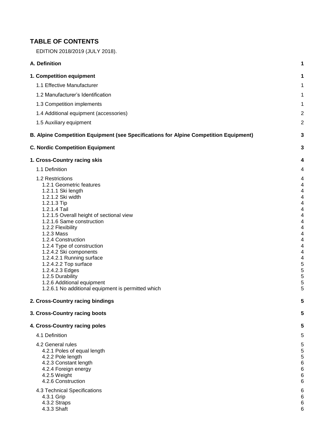### **TABLE OF CONTENTS**

| EDITION 2018/2019 (JULY 2018).                                                                                                                                                                                                                                                                                                                                                                                                                                                                                                        |                                                                                                  |
|---------------------------------------------------------------------------------------------------------------------------------------------------------------------------------------------------------------------------------------------------------------------------------------------------------------------------------------------------------------------------------------------------------------------------------------------------------------------------------------------------------------------------------------|--------------------------------------------------------------------------------------------------|
| A. Definition                                                                                                                                                                                                                                                                                                                                                                                                                                                                                                                         | 1                                                                                                |
| 1. Competition equipment                                                                                                                                                                                                                                                                                                                                                                                                                                                                                                              | 1                                                                                                |
| 1.1 Effective Manufacturer                                                                                                                                                                                                                                                                                                                                                                                                                                                                                                            | 1                                                                                                |
| 1.2 Manufacturer's Identification                                                                                                                                                                                                                                                                                                                                                                                                                                                                                                     | 1                                                                                                |
| 1.3 Competition implements                                                                                                                                                                                                                                                                                                                                                                                                                                                                                                            | 1                                                                                                |
| 1.4 Additional equipment (accessories)                                                                                                                                                                                                                                                                                                                                                                                                                                                                                                | $\overline{c}$                                                                                   |
| 1.5 Auxiliary equipment                                                                                                                                                                                                                                                                                                                                                                                                                                                                                                               | 2                                                                                                |
| B. Alpine Competition Equipment (see Specifications for Alpine Competition Equipment)                                                                                                                                                                                                                                                                                                                                                                                                                                                 | 3                                                                                                |
| <b>C. Nordic Competition Equipment</b>                                                                                                                                                                                                                                                                                                                                                                                                                                                                                                | 3                                                                                                |
| 1. Cross-Country racing skis                                                                                                                                                                                                                                                                                                                                                                                                                                                                                                          | 4                                                                                                |
| 1.1 Definition                                                                                                                                                                                                                                                                                                                                                                                                                                                                                                                        | 4                                                                                                |
| 1.2 Restrictions<br>1.2.1 Geometric features<br>1.2.1.1 Ski length<br>1.2.1.2 Ski width<br>1.2.1.3 Tip<br>1.2.1.4 Tail<br>1.2.1.5 Overall height of sectional view<br>1.2.1.6 Same construction<br>1.2.2 Flexibility<br>1.2.3 Mass<br>1.2.4 Construction<br>1.2.4 Type of construction<br>1.2.4.2 Ski components<br>1.2.4.2.1 Running surface<br>1.2.4.2.2 Top surface<br>1.2.4.2.3 Edges<br>1.2.5 Durability<br>1.2.6 Additional equipment<br>1.2.6.1 No additional equipment is permitted which<br>2. Cross-Country racing bindings | 4<br>4<br>4<br>4<br>4<br>4<br>4<br>4<br>4<br>4<br>4<br>4<br>4<br>4<br>5<br>5<br>5<br>5<br>5<br>5 |
| 3. Cross-Country racing boots                                                                                                                                                                                                                                                                                                                                                                                                                                                                                                         | 5                                                                                                |
| 4. Cross-Country racing poles                                                                                                                                                                                                                                                                                                                                                                                                                                                                                                         | 5                                                                                                |
| 4.1 Definition                                                                                                                                                                                                                                                                                                                                                                                                                                                                                                                        | 5                                                                                                |
| 4.2 General rules<br>4.2.1 Poles of equal length<br>4.2.2 Pole length<br>4.2.3 Constant length<br>4.2.4 Foreign energy<br>4.2.5 Weight<br>4.2.6 Construction<br>4.3 Technical Specifications<br>4.3.1 Grip                                                                                                                                                                                                                                                                                                                            | 5<br>5<br>5<br>6<br>6<br>6<br>6<br>6<br>6                                                        |

- 4.3.2 Straps 6
- 4.3.3 Shaft 6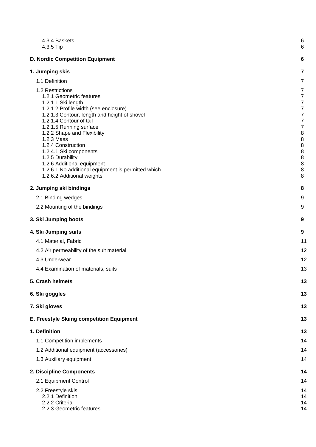| 4.3.4 Baskets<br>4.3.5 Tip                                                                                                                                                                                                                                                                                                                                                                                                                           | 6<br>6                                                                                                                                                                                                                   |
|------------------------------------------------------------------------------------------------------------------------------------------------------------------------------------------------------------------------------------------------------------------------------------------------------------------------------------------------------------------------------------------------------------------------------------------------------|--------------------------------------------------------------------------------------------------------------------------------------------------------------------------------------------------------------------------|
| <b>D. Nordic Competition Equipment</b>                                                                                                                                                                                                                                                                                                                                                                                                               | 6                                                                                                                                                                                                                        |
| 1. Jumping skis                                                                                                                                                                                                                                                                                                                                                                                                                                      | $\overline{7}$                                                                                                                                                                                                           |
| 1.1 Definition                                                                                                                                                                                                                                                                                                                                                                                                                                       | $\overline{7}$                                                                                                                                                                                                           |
| 1.2 Restrictions<br>1.2.1 Geometric features<br>1.2.1.1 Ski length<br>1.2.1.2 Profile width (see enclosure)<br>1.2.1.3 Contour, length and height of shovel<br>1.2.1.4 Contour of tail<br>1.2.1.5 Running surface<br>1.2.2 Shape and Flexibility<br>1.2.3 Mass<br>1.2.4 Construction<br>1.2.4.1 Ski components<br>1.2.5 Durability<br>1.2.6 Additional equipment<br>1.2.6.1 No additional equipment is permitted which<br>1.2.6.2 Additional weights | $\overline{7}$<br>$\boldsymbol{7}$<br>$\boldsymbol{7}$<br>$\boldsymbol{7}$<br>$\boldsymbol{7}$<br>$\boldsymbol{7}$<br>$\boldsymbol{7}$<br>$\bf 8$<br>$\bf 8$<br>$\bf 8$<br>$\bf 8$<br>$\bf 8$<br>$\,8\,$<br>$\,8\,$<br>8 |
| 2. Jumping ski bindings                                                                                                                                                                                                                                                                                                                                                                                                                              | 8                                                                                                                                                                                                                        |
| 2.1 Binding wedges                                                                                                                                                                                                                                                                                                                                                                                                                                   | 9                                                                                                                                                                                                                        |
| 2.2 Mounting of the bindings                                                                                                                                                                                                                                                                                                                                                                                                                         | 9                                                                                                                                                                                                                        |
| 3. Ski Jumping boots                                                                                                                                                                                                                                                                                                                                                                                                                                 | 9                                                                                                                                                                                                                        |
| 4. Ski Jumping suits                                                                                                                                                                                                                                                                                                                                                                                                                                 | 9                                                                                                                                                                                                                        |
| 4.1 Material, Fabric                                                                                                                                                                                                                                                                                                                                                                                                                                 | 11                                                                                                                                                                                                                       |
| 4.2 Air permeability of the suit material                                                                                                                                                                                                                                                                                                                                                                                                            | 12                                                                                                                                                                                                                       |
| 4.3 Underwear                                                                                                                                                                                                                                                                                                                                                                                                                                        | 12                                                                                                                                                                                                                       |
| 4.4 Examination of materials, suits                                                                                                                                                                                                                                                                                                                                                                                                                  | 13                                                                                                                                                                                                                       |
| 5. Crash helmets                                                                                                                                                                                                                                                                                                                                                                                                                                     | 13                                                                                                                                                                                                                       |
| 6. Ski goggles                                                                                                                                                                                                                                                                                                                                                                                                                                       | 13                                                                                                                                                                                                                       |
| 7. Ski gloves                                                                                                                                                                                                                                                                                                                                                                                                                                        | 13                                                                                                                                                                                                                       |
| E. Freestyle Skiing competition Equipment                                                                                                                                                                                                                                                                                                                                                                                                            | 13                                                                                                                                                                                                                       |
| 1. Definition                                                                                                                                                                                                                                                                                                                                                                                                                                        | 13                                                                                                                                                                                                                       |
| 1.1 Competition implements                                                                                                                                                                                                                                                                                                                                                                                                                           | 14                                                                                                                                                                                                                       |
| 1.2 Additional equipment (accessories)                                                                                                                                                                                                                                                                                                                                                                                                               | 14                                                                                                                                                                                                                       |
| 1.3 Auxiliary equipment                                                                                                                                                                                                                                                                                                                                                                                                                              | 14                                                                                                                                                                                                                       |
| 2. Discipline Components                                                                                                                                                                                                                                                                                                                                                                                                                             | 14                                                                                                                                                                                                                       |
| 2.1 Equipment Control                                                                                                                                                                                                                                                                                                                                                                                                                                | 14                                                                                                                                                                                                                       |
| 2.2 Freestyle skis<br>2.2.1 Definition<br>2.2.2 Criteria<br>2.2.3 Geometric features                                                                                                                                                                                                                                                                                                                                                                 | 14<br>14<br>14<br>14                                                                                                                                                                                                     |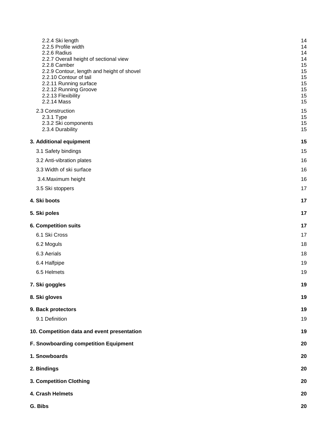| 2.2.4 Ski length<br>2.2.5 Profile width<br>2.2.6 Radius<br>2.2.7 Overall height of sectional view<br>2.2.8 Camber<br>2.2.9 Contour, length and height of shovel<br>2.2.10 Contour of tail<br>2.2.11 Running surface<br>2.2.12 Running Groove<br>2.2.13 Flexibility<br>2.2.14 Mass<br>2.3 Construction<br>2.3.1 Type | 14<br>14<br>14<br>14<br>15<br>15<br>15<br>15<br>15<br>15<br>15<br>15<br>15 |
|---------------------------------------------------------------------------------------------------------------------------------------------------------------------------------------------------------------------------------------------------------------------------------------------------------------------|----------------------------------------------------------------------------|
| 2.3.2 Ski components<br>2.3.4 Durability                                                                                                                                                                                                                                                                            | 15<br>15                                                                   |
| 3. Additional equipment                                                                                                                                                                                                                                                                                             | 15                                                                         |
| 3.1 Safety bindings                                                                                                                                                                                                                                                                                                 | 15                                                                         |
| 3.2 Anti-vibration plates                                                                                                                                                                                                                                                                                           | 16                                                                         |
| 3.3 Width of ski surface                                                                                                                                                                                                                                                                                            | 16                                                                         |
| 3.4. Maximum height                                                                                                                                                                                                                                                                                                 | 16                                                                         |
| 3.5 Ski stoppers                                                                                                                                                                                                                                                                                                    | 17                                                                         |
| 4. Ski boots                                                                                                                                                                                                                                                                                                        | 17                                                                         |
| 5. Ski poles                                                                                                                                                                                                                                                                                                        | 17                                                                         |
| <b>6. Competition suits</b>                                                                                                                                                                                                                                                                                         | 17                                                                         |
| 6.1 Ski Cross                                                                                                                                                                                                                                                                                                       | 17                                                                         |
| 6.2 Moguls                                                                                                                                                                                                                                                                                                          | 18                                                                         |
| 6.3 Aerials                                                                                                                                                                                                                                                                                                         | 18                                                                         |
| 6.4 Halfpipe                                                                                                                                                                                                                                                                                                        | 19                                                                         |
| 6.5 Helmets                                                                                                                                                                                                                                                                                                         | 19                                                                         |
| 7. Ski goggles                                                                                                                                                                                                                                                                                                      | 19                                                                         |
| 8. Ski gloves                                                                                                                                                                                                                                                                                                       | 19                                                                         |
| 9. Back protectors                                                                                                                                                                                                                                                                                                  | 19                                                                         |
| 9.1 Definition                                                                                                                                                                                                                                                                                                      | 19                                                                         |
| 10. Competition data and event presentation                                                                                                                                                                                                                                                                         | 19                                                                         |
| F. Snowboarding competition Equipment                                                                                                                                                                                                                                                                               | 20                                                                         |
| 1. Snowboards                                                                                                                                                                                                                                                                                                       | 20                                                                         |
| 2. Bindings                                                                                                                                                                                                                                                                                                         | 20                                                                         |
| 3. Competition Clothing                                                                                                                                                                                                                                                                                             | 20                                                                         |
| 4. Crash Helmets                                                                                                                                                                                                                                                                                                    | 20                                                                         |
| G. Bibs                                                                                                                                                                                                                                                                                                             | 20                                                                         |
|                                                                                                                                                                                                                                                                                                                     |                                                                            |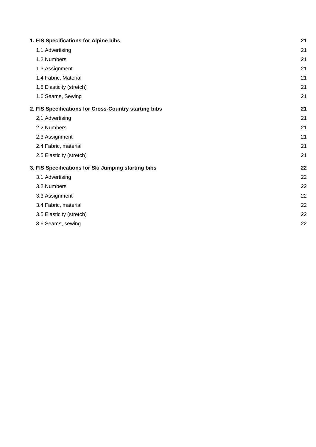| 1. FIS Specifications for Alpine bibs                 | 21 |
|-------------------------------------------------------|----|
| 1.1 Advertising                                       | 21 |
| 1.2 Numbers                                           | 21 |
| 1.3 Assignment                                        | 21 |
| 1.4 Fabric, Material                                  | 21 |
| 1.5 Elasticity (stretch)                              | 21 |
| 1.6 Seams, Sewing                                     | 21 |
| 2. FIS Specifications for Cross-Country starting bibs | 21 |
| 2.1 Advertising                                       | 21 |
| 2.2 Numbers                                           | 21 |
| 2.3 Assignment                                        | 21 |
| 2.4 Fabric, material                                  | 21 |
| 2.5 Elasticity (stretch)                              | 21 |
| 3. FIS Specifications for Ski Jumping starting bibs   | 22 |
| 3.1 Advertising                                       | 22 |
| 3.2 Numbers                                           | 22 |
| 3.3 Assignment                                        | 22 |
| 3.4 Fabric, material                                  | 22 |
| 3.5 Elasticity (stretch)                              | 22 |
| 3.6 Seams, sewing                                     | 22 |
|                                                       |    |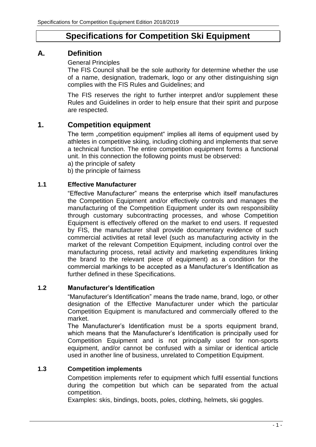# **Specifications for Competition Ski Equipment**

### **A. Definition**

General Principles

The FIS Council shall be the sole authority for determine whether the use of a name, designation, trademark, logo or any other distinguishing sign complies with the FIS Rules and Guidelines; and

The FIS reserves the right to further interpret and/or supplement these Rules and Guidelines in order to help ensure that their spirit and purpose are respected.

### **1. Competition equipment**

The term "competition equipment" implies all items of equipment used by athletes in competitive skiing, including clothing and implements that serve a technical function. The entire competition equipment forms a functional unit. In this connection the following points must be observed:

a) the principle of safety

b) the principle of fairness

### **1.1 Effective Manufacturer**

"Effective Manufacturer" means the enterprise which itself manufactures the Competition Equipment and/or effectively controls and manages the manufacturing of the Competition Equipment under its own responsibility through customary subcontracting processes, and whose Competition Equipment is effectively offered on the market to end users. If requested by FIS, the manufacturer shall provide documentary evidence of such commercial activities at retail level (such as manufacturing activity in the market of the relevant Competition Equipment, including control over the manufacturing process, retail activity and marketing expenditures linking the brand to the relevant piece of equipment) as a condition for the commercial markings to be accepted as a Manufacturer's Identification as further defined in these Specifications.

#### **1.2 Manufacturer's Identification**

"Manufacturer's Identification" means the trade name, brand, logo, or other designation of the Effective Manufacturer under which the particular Competition Equipment is manufactured and commercially offered to the market.

The Manufacturer's Identification must be a sports equipment brand, which means that the Manufacturer's Identification is principally used for Competition Equipment and is not principally used for non-sports equipment, and/or cannot be confused with a similar or identical article used in another line of business, unrelated to Competition Equipment.

#### **1.3 Competition implements**

Competition implements refer to equipment which fulfil essential functions during the competition but which can be separated from the actual competition.

Examples: skis, bindings, boots, poles, clothing, helmets, ski goggles.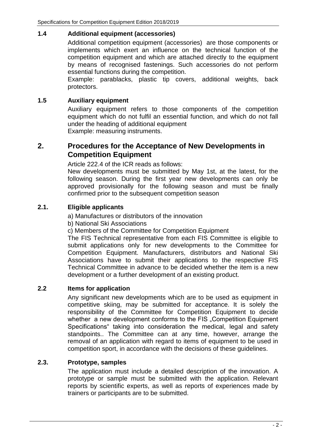#### **1.4 Additional equipment (accessories)**

Additional competition equipment (accessories) are those components or implements which exert an influence on the technical function of the competition equipment and which are attached directly to the equipment by means of recognised fastenings. Such accessories do not perform essential functions during the competition.

Example: parablacks, plastic tip covers, additional weights, back protectors.

#### **1.5 Auxiliary equipment**

Auxiliary equipment refers to those components of the competition equipment which do not fulfil an essential function, and which do not fall under the heading of additional equipment Example: measuring instruments.

### **2. Procedures for the Acceptance of New Developments in Competition Equipment**

Article 222.4 of the ICR reads as follows:

New developments must be submitted by May 1st, at the latest, for the following season. During the first year new developments can only be approved provisionally for the following season and must be finally confirmed prior to the subsequent competition season

#### **2.1. Eligible applicants**

a) Manufactures or distributors of the innovation

b) National Ski Associations

c) Members of the Committee for Competition Equipment

The FIS Technical representative from each FIS Committee is eligible to submit applications only for new developments to the Committee for Competition Equipment. Manufacturers, distributors and National Ski Associations have to submit their applications to the respective FIS Technical Committee in advance to be decided whether the item is a new development or a further development of an existing product.

#### **2.2 Items for application**

Any significant new developments which are to be used as equipment in competitive skiing, may be submitted for acceptance. It is solely the responsibility of the Committee for Competition Equipment to decide whether a new development conforms to the FIS "Competition Equipment Specifications" taking into consideration the medical, legal and safety standpoints.. The Committee can at any time, however, arrange the removal of an application with regard to items of equipment to be used in competition sport, in accordance with the decisions of these guidelines.

#### **2.3. Prototype, samples**

The application must include a detailed description of the innovation. A prototype or sample must be submitted with the application. Relevant reports by scientific experts, as well as reports of experiences made by trainers or participants are to be submitted.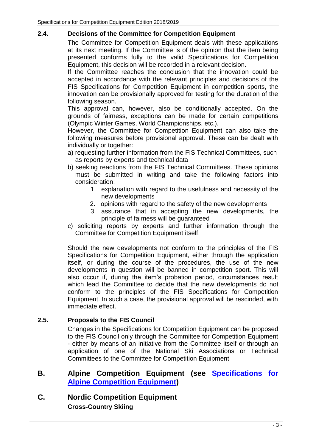#### **2.4. Decisions of the Committee for Competition Equipment**

The Committee for Competition Equipment deals with these applications at its next meeting. If the Committee is of the opinion that the item being presented conforms fully to the valid Specifications for Competition Equipment, this decision will be recorded in a relevant decision.

If the Committee reaches the conclusion that the innovation could be accepted in accordance with the relevant principles and decisions of the FIS Specifications for Competition Equipment in competition sports, the innovation can be provisionally approved for testing for the duration of the following season.

This approval can, however, also be conditionally accepted. On the grounds of fairness, exceptions can be made for certain competitions (Olympic Winter Games, World Championships, etc.).

However, the Committee for Competition Equipment can also take the following measures before provisional approval. These can be dealt with individually or together:

- a) requesting further information from the FIS Technical Committees, such as reports by experts and technical data
- b) seeking reactions from the FIS Technical Committees. These opinions must be submitted in writing and take the following factors into consideration:
	- 1. explanation with regard to the usefulness and necessity of the new developments
	- 2. opinions with regard to the safety of the new developments
	- 3. assurance that in accepting the new developments, the principle of fairness will be guaranteed
- c) soliciting reports by experts and further information through the Committee for Competition Equipment itself.

Should the new developments not conform to the principles of the FIS Specifications for Competition Equipment, either through the application itself, or during the course of the procedures, the use of the new developments in question will be banned in competition sport. This will also occur if, during the item's probation period, circumstances result which lead the Committee to decide that the new developments do not conform to the principles of the FIS Specifications for Competition Equipment. In such a case, the provisional approval will be rescinded, with immediate effect.

### **2.5. Proposals to the FIS Council**

Changes in the Specifications for Competition Equipment can be proposed to the FIS Council only through the Committee for Competition Equipment - either by means of an initiative from the Committee itself or through an application of one of the National Ski Associations or Technical Committees to the Committee for Competition Equipment

### **B. Alpine Competition Equipment (see [Specifications for](http://www.fis-ski.com/mm/Document/documentlibrary/AlpineSkiing/12/63/33/SpecificationsforAlpineCompetitonEquipment_Neutral.pdf) [Alpine Competition Equipment\)](http://www.fis-ski.com/mm/Document/documentlibrary/AlpineSkiing/12/63/33/SpecificationsforAlpineCompetitonEquipment_Neutral.pdf)**

### **C. Nordic Competition Equipment Cross-Country Skiing**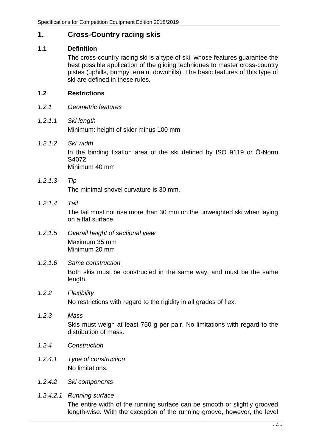### **1. Cross-Country racing skis**

#### **1.1 Definition**

The cross-country racing ski is a type of ski, whose features guarantee the best possible application of the gliding techniques to master cross-country pistes (uphills, bumpy terrain, downhills). The basic features of this type of ski are defined in these rules.

#### **1.2 Restrictions**

- *1.2.1 Geometric features*
- *1.2.1.1 Ski length* Minimum: height of skier minus 100 mm
- *1.2.1.2 Ski width* In the binding fixation area of the ski defined by ISO 9119 or Ö-Norm S4072 Minimum 40 mm
- *1.2.1.3 Tip*

The minimal shovel curvature is 30 mm.

*1.2.1.4 Tail*

The tail must not rise more than 30 mm on the unweighted ski when laying on a flat surface.

- *1.2.1.5 Overall height of sectional view* Maximum 35 mm Minimum 20 mm
- *1.2.1.6 Same construction*

Both skis must be constructed in the same way, and must be the same length.

- *1.2.2 Flexibility* No restrictions with regard to the rigidity in all grades of flex.
- *1.2.3 Mass* Skis must weigh at least 750 g per pair. No limitations with regard to the distribution of mass.
- *1.2.4 Construction*
- *1.2.4.1 Type of construction* No limitations.
- *1.2.4.2 Ski components*
- *1.2.4.2.1 Running surface*

The entire width of the running surface can be smooth or slightly grooved length-wise. With the exception of the running groove, however, the level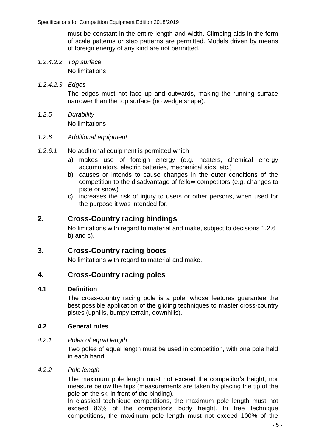must be constant in the entire length and width. Climbing aids in the form of scale patterns or step patterns are permitted. Models driven by means of foreign energy of any kind are not permitted.

*1.2.4.2.2 Top surface*

No limitations

*1.2.4.2.3 Edges*

The edges must not face up and outwards, making the running surface narrower than the top surface (no wedge shape).

*1.2.5 Durability*

No limitations

#### *1.2.6 Additional equipment*

- *1.2.6.1* No additional equipment is permitted which
	- a) makes use of foreign energy (e.g. heaters, chemical energy accumulators, electric batteries, mechanical aids, etc.)
	- b) causes or intends to cause changes in the outer conditions of the competition to the disadvantage of fellow competitors (e.g. changes to piste or snow)
	- c) increases the risk of injury to users or other persons, when used for the purpose it was intended for.

### **2. Cross-Country racing bindings**

No limitations with regard to material and make, subject to decisions 1.2.6 b) and c).

### **3. Cross-Country racing boots**

No limitations with regard to material and make.

### **4. Cross-Country racing poles**

#### **4.1 Definition**

The cross-country racing pole is a pole, whose features guarantee the best possible application of the gliding techniques to master cross-country pistes (uphills, bumpy terrain, downhills).

#### **4.2 General rules**

#### *4.2.1 Poles of equal length*

Two poles of equal length must be used in competition, with one pole held in each hand.

#### *4.2.2 Pole length*

The maximum pole length must not exceed the competitor's height, nor measure below the hips (measurements are taken by placing the tip of the pole on the ski in front of the binding).

In classical technique competitions, the maximum pole length must not exceed 83% of the competitor's body height. In free technique competitions, the maximum pole length must not exceed 100% of the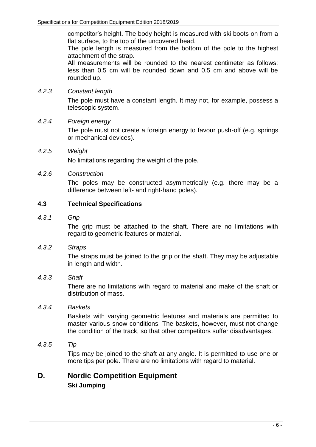competitor's height. The body height is measured with ski boots on from a flat surface, to the top of the uncovered head.

The pole length is measured from the bottom of the pole to the highest attachment of the strap.

All measurements will be rounded to the nearest centimeter as follows: less than 0.5 cm will be rounded down and 0.5 cm and above will be rounded up.

#### *4.2.3 Constant length*

The pole must have a constant length. It may not, for example, possess a telescopic system.

#### *4.2.4 Foreign energy*

The pole must not create a foreign energy to favour push-off (e.g. springs or mechanical devices).

#### *4.2.5 Weight*

No limitations regarding the weight of the pole.

#### *4.2.6 Construction*

The poles may be constructed asymmetrically (e.g. there may be a difference between left- and right-hand poles).

#### **4.3 Technical Specifications**

#### *4.3.1 Grip*

The grip must be attached to the shaft. There are no limitations with regard to geometric features or material.

#### *4.3.2 Straps*

The straps must be joined to the grip or the shaft. They may be adjustable in length and width.

#### *4.3.3 Shaft*

There are no limitations with regard to material and make of the shaft or distribution of mass.

#### *4.3.4 Baskets*

Baskets with varying geometric features and materials are permitted to master various snow conditions. The baskets, however, must not change the condition of the track, so that other competitors suffer disadvantages.

#### *4.3.5 Tip*

Tips may be joined to the shaft at any angle. It is permitted to use one or more tips per pole. There are no limitations with regard to material.

### **D. Nordic Competition Equipment Ski Jumping**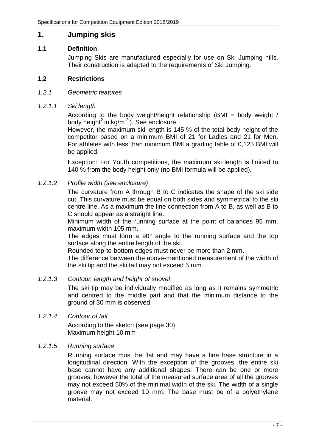### **1. Jumping skis**

#### **1.1 Definition**

Jumping Skis are manufactured especially for use on Ski Jumping hills. Their construction is adapted to the requirements of Ski Jumping.

#### **1.2 Restrictions**

#### *1.2.1 Geometric features*

#### *1.2.1.1 Ski length*

According to the body weight/height relationship (BMI = body weight / body height<sup>2</sup> in kg/m<sup>-2</sup>). See enclosure.

However, the maximum ski length is 145 % of the total body height of the competitor based on a minimum BMI of 21 for Ladies and 21 for Men. For athletes with less than minimum BMI a grading table of 0,125 BMI will be applied.

Exception: For Youth competitions, the maximum ski length is limited to 140 % from the body height only (no BMI formula will be applied).

#### *1.2.1.2 Profile width (see enclosure)*

The curvature from A through B to C indicates the shape of the ski side cut. This curvature must be equal on both sides and symmetrical to the ski centre line. As a maximum the line connection from A to B, as well as B to C should appear as a straight line.

Minimum width of the running surface at the point of balances 95 mm, maximum width 105 mm.

The edges must form a 90° angle to the running surface and the top surface along the entire length of the ski.

Rounded top-to-bottom edges must never be more than 2 mm.

The difference between the above-mentioned measurement of the width of the ski tip and the ski tail may not exceed 5 mm.

#### *1.2.1.3 Contour, length and height of shovel*

The ski tip may be individually modified as long as it remains symmetric and centred to the middle part and that the minimum distance to the ground of 30 mm is observed.

#### *1.2.1.4 Contour of tail*

According to the sketch (see page 30) Maximum height 10 mm

#### *1.2.1.5 Running surface*

Running surface must be flat and may have a fine base structure in a longitudinal direction. With the exception of the grooves, the entire ski base cannot have any additional shapes. There can be one or more grooves; however the total of the measured surface area of all the grooves may not exceed 50% of the minimal width of the ski. The width of a single groove may not exceed 10 mm. The base must be of a polyethylene material.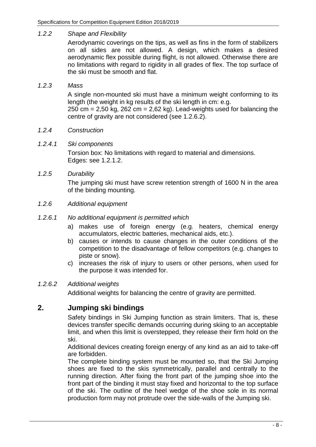#### *1.2.2 Shape and Flexibility*

Aerodynamic coverings on the tips, as well as fins in the form of stabilizers on all sides are not allowed. A design, which makes a desired aerodynamic flex possible during flight, is not allowed. Otherwise there are no limitations with regard to rigidity in all grades of flex. The top surface of the ski must be smooth and flat.

#### *1.2.3 Mass*

A single non-mounted ski must have a minimum weight conforming to its length (the weight in kg results of the ski length in cm: e.g.

250 cm =  $2.50$  kg,  $262$  cm =  $2.62$  kg). Lead-weights used for balancing the centre of gravity are not considered (see 1.2.6.2).

#### *1.2.4 Construction*

#### *1.2.4.1 Ski components*

Torsion box: No limitations with regard to material and dimensions. Edges: see 1.2.1.2.

*1.2.5 Durability*

The jumping ski must have screw retention strength of 1600 N in the area of the binding mounting.

*1.2.6 Additional equipment*

#### *1.2.6.1 No additional equipment is permitted which*

- a) makes use of foreign energy (e.g. heaters, chemical energy accumulators, electric batteries, mechanical aids, etc.).
- b) causes or intends to cause changes in the outer conditions of the competition to the disadvantage of fellow competitors (e.g. changes to piste or snow).
- c) increases the risk of injury to users or other persons, when used for the purpose it was intended for.

#### *1.2.6.2 Additional weights*

Additional weights for balancing the centre of gravity are permitted.

### **2. Jumping ski bindings**

Safety bindings in Ski Jumping function as strain limiters. That is, these devices transfer specific demands occurring during skiing to an acceptable limit, and when this limit is overstepped, they release their firm hold on the ski.

Additional devices creating foreign energy of any kind as an aid to take-off are forbidden.

The complete binding system must be mounted so, that the Ski Jumping shoes are fixed to the skis symmetrically, parallel and centrally to the running direction. After fixing the front part of the jumping shoe into the front part of the binding it must stay fixed and horizontal to the top surface of the ski. The outline of the heel wedge of the shoe sole in its normal production form may not protrude over the side-walls of the Jumping ski.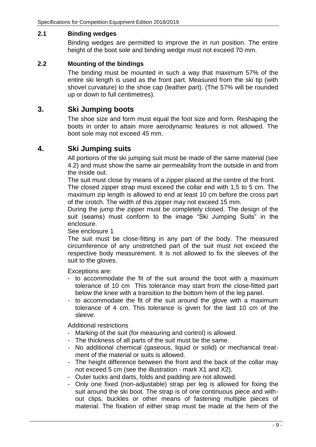#### **2.1 Binding wedges**

Binding wedges are permitted to improve the in run position. The entire height of the boot sole and binding wedge must not exceed 70 mm.

#### **2.2 Mounting of the bindings**

The binding must be mounted in such a way that maximum 57% of the entire ski length is used as the front part. Measured from the ski tip (with shovel curvature) to the shoe cap (leather part). (The 57% will be rounded up or down to full centimetres).

### **3. Ski Jumping boots**

The shoe size and form must equal the foot size and form. Reshaping the boots in order to attain more aerodynamic features is not allowed. The boot sole may not exceed 45 mm.

### **4. Ski Jumping suits**

All portions of the ski jumping suit must be made of the same material (see 4.2) and must show the same air permeability from the outside in and from the inside out.

The suit must close by means of a zipper placed at the centre of the front. The closed zipper strap must exceed the collar end with 1,5 to 5 cm. The maximum zip length is allowed to end at least 10 cm before the cross part of the crotch. The width of this zipper may not exceed 15 mm.

During the jump the zipper must be completely closed. The design of the suit (seams) must conform to the image "Ski Jumping Suits" in the enclosure.

See enclosure 1

The suit must be close-fitting in any part of the body. The measured circumference of any unstretched part of the suit must not exceed the respective body measurement. It is not allowed to fix the sleeves of the suit to the gloves.

Exceptions are:

- to accommodate the fit of the suit around the boot with a maximum tolerance of 10 cm This tolerance may start from the close-fitted part below the knee with a transition to the bottom hem of the leg panel.
- to accommodate the fit of the suit around the glove with a maximum tolerance of 4 cm. This tolerance is given for the last 10 cm of the sleeve.

Additional restrictions

- Marking of the suit (for measuring and control) is allowed.
- The thickness of all parts of the suit must be the same.
- No additional chemical (gaseous, liquid or solid) or mechanical treatment of the material or suits is allowed.
- The height difference between the front and the back of the collar may not exceed 5 cm (see the illustration - mark X1 and X2).
- Outer tucks and darts, folds and padding are not allowed.
- Only one fixed (non-adjustable) strap per leg is allowed for fixing the suit around the ski boot. The strap is of one continuous piece and without clips, buckles or other means of fastening multiple pieces of material. The fixation of either strap must be made at the hem of the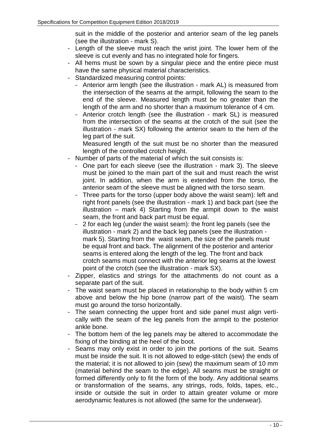suit in the middle of the posterior and anterior seam of the leg panels (see the illustration - mark S).

- Length of the sleeve must reach the wrist joint. The lower hem of the sleeve is cut evenly and has no integrated hole for fingers.
- All hems must be sown by a singular piece and the entire piece must have the same physical material characteristics.
- Standardized measuring control points:
	- Anterior arm length (see the illustration mark AL) is measured from the intersection of the seams at the armpit, following the seam to the end of the sleeve. Measured length must be no greater than the length of the arm and no shorter than a maximum tolerance of 4 cm.
	- Anterior crotch length (see the illustration mark SL) is measured from the intersection of the seams at the crotch of the suit (see the illustration - mark SX) following the anterior seam to the hem of the leg part of the suit.

Measured length of the suit must be no shorter than the measured length of the controlled crotch height.

- Number of parts of the material of which the suit consists is:
	- One part for each sleeve (see the illustration mark 3). The sleeve must be joined to the main part of the suit and must reach the wrist joint. In addition, when the arm is extended from the torso, the anterior seam of the sleeve must be aligned with the torso seam.
	- Three parts for the torso (upper body above the waist seam): left and right front panels (see the illustration - mark 1) and back part (see the illustration – mark 4) Starting from the armpit down to the waist seam, the front and back part must be equal.
	- 2 for each leg (under the waist seam): the front leg panels (see the illustration - mark 2) and the back leg panels (see the illustration mark 5). Starting from the waist seam, the size of the panels must be equal front and back. The alignment of the posterior and anterior seams is entered along the length of the leg. The front and back crotch seams must connect with the anterior leg seams at the lowest point of the crotch (see the illustration - mark SX).
- Zipper, elastics and strings for the attachments do not count as a separate part of the suit.
- The waist seam must be placed in relationship to the body within 5 cm above and below the hip bone (narrow part of the waist). The seam must go around the torso horizontally.
- The seam connecting the upper front and side panel must align vertically with the seam of the leg panels from the armpit to the posterior ankle bone.
- The bottom hem of the leg panels may be altered to accommodate the fixing of the binding at the heel of the boot.
- Seams may only exist in order to join the portions of the suit. Seams must be inside the suit. It is not allowed to edge-stitch (sew) the ends of the material; it is not allowed to join (sew) the maximum seam of 10 mm (material behind the seam to the edge). All seams must be straight or formed differently only to fit the form of the body. Any additional seams or transformation of the seams, any strings, rods, folds, tapes, etc., inside or outside the suit in order to attain greater volume or more aerodynamic features is not allowed (the same for the underwear).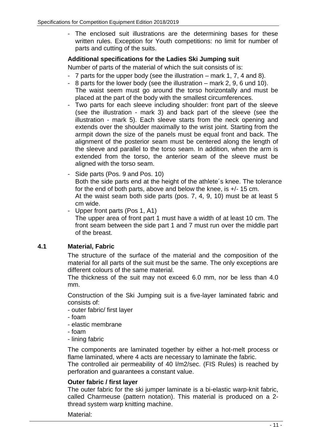- The enclosed suit illustrations are the determining bases for these written rules. Exception for Youth competitions: no limit for number of parts and cutting of the suits.

### **Additional specifications for the Ladies Ski Jumping suit**

Number of parts of the material of which the suit consists of is:

- 7 parts for the upper body (see the illustration mark 1, 7, 4 and 8).
- 8 parts for the lower body (see the illustration mark 2, 9, 6 und 10). The waist seem must go around the torso horizontally and must be placed at the part of the body with the smallest circumferences.
- Two parts for each sleeve including shoulder: front part of the sleeve (see the illustration - mark 3) and back part of the sleeve (see the illustration - mark 5). Each sleeve starts from the neck opening and extends over the shoulder maximally to the wrist joint. Starting from the armpit down the size of the panels must be equal front and back. The alignment of the posterior seam must be centered along the length of the sleeve and parallel to the torso seam. In addition, when the arm is extended from the torso, the anterior seam of the sleeve must be aligned with the torso seam.
- Side parts (Pos. 9 and Pos. 10) Both the side parts end at the height of the athlete´s knee. The tolerance for the end of both parts, above and below the knee, is +/- 15 cm. At the waist seam both side parts (pos. 7, 4, 9, 10) must be at least 5 cm wide.
- Upper front parts (Pos 1, A1) The upper area of front part 1 must have a width of at least 10 cm. The front seam between the side part 1 and 7 must run over the middle part of the breast.

### **4.1 Material, Fabric**

The structure of the surface of the material and the composition of the material for all parts of the suit must be the same. The only exceptions are different colours of the same material.

The thickness of the suit may not exceed 6.0 mm, nor be less than 4.0 mm.

Construction of the Ski Jumping suit is a five-layer laminated fabric and consists of:

- outer fabric/ first layer
- foam
- elastic membrane
- foam
- lining fabric

The components are laminated together by either a hot-melt process or flame laminated, where 4 acts are necessary to laminate the fabric.

The controlled air permeability of 40 l/m2/sec. (FIS Rules) is reached by perforation and guarantees a constant value.

#### **Outer fabric / first layer**

The outer fabric for the ski jumper laminate is a bi-elastic warp-knit fabric, called Charmeuse (pattern notation). This material is produced on a 2 thread system warp knitting machine.

Material: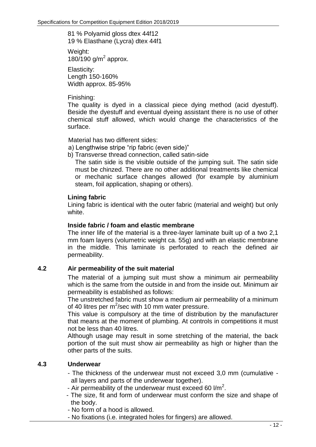81 % Polyamid gloss dtex 44f12 19 % Elasthane (Lycra) dtex 44f1

Weight:  $180/190$  g/m<sup>2</sup> approx.

Elasticity: Length 150-160% Width approx. 85-95%

Finishing:

The quality is dyed in a classical piece dying method (acid dyestuff). Beside the dyestuff and eventual dyeing assistant there is no use of other chemical stuff allowed, which would change the characteristics of the surface.

Material has two different sides:

- a) Lengthwise stripe "rip fabric (even side)"
- b) Transverse thread connection, called satin-side

The satin side is the visible outside of the jumping suit. The satin side must be chinzed. There are no other additional treatments like chemical or mechanic surface changes allowed (for example by aluminium steam, foil application, shaping or others).

### **Lining fabric**

Lining fabric is identical with the outer fabric (material and weight) but only white.

#### **Inside fabric / foam and elastic membrane**

The inner life of the material is a three-layer laminate built up of a two 2,1 mm foam layers (volumetric weight ca. 55g) and with an elastic membrane in the middle. This laminate is perforated to reach the defined air permeability.

### **4.2 Air permeability of the suit material**

The material of a jumping suit must show a minimum air permeability which is the same from the outside in and from the inside out. Minimum air permeability is established as follows:

The unstretched fabric must show a medium air permeability of a minimum of 40 litres per  $m^2$ /sec with 10 mm water pressure.

This value is compulsory at the time of distribution by the manufacturer that means at the moment of plumbing. At controls in competitions it must not be less than 40 litres.

Although usage may result in some stretching of the material, the back portion of the suit must show air permeability as high or higher than the other parts of the suits.

### **4.3 Underwear**

- The thickness of the underwear must not exceed 3,0 mm (cumulative all layers and parts of the underwear together).
- Air permeability of the underwear must exceed 60  $1/m^2$ .
- The size, fit and form of underwear must conform the size and shape of the body.
- No form of a hood is allowed.
- No fixations (i.e. integrated holes for fingers) are allowed.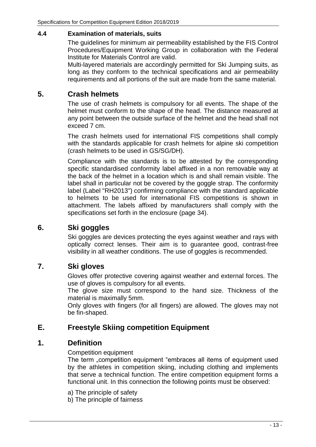#### **4.4 Examination of materials, suits**

The guidelines for minimum air permeability established by the FIS Control Procedures/Equipment Working Group in collaboration with the Federal Institute for Materials Control are valid.

Multi-layered materials are accordingly permitted for Ski Jumping suits, as long as they conform to the technical specifications and air permeability requirements and all portions of the suit are made from the same material.

### **5. Crash helmets**

The use of crash helmets is compulsory for all events. The shape of the helmet must conform to the shape of the head. The distance measured at any point between the outside surface of the helmet and the head shall not exceed 7 cm.

The crash helmets used for international FIS competitions shall comply with the standards applicable for crash helmets for alpine ski competition (crash helmets to be used in GS/SG/DH).

Compliance with the standards is to be attested by the corresponding specific standardised conformity label affixed in a non removable way at the back of the helmet in a location which is and shall remain visible. The label shall in particular not be covered by the goggle strap. The conformity label (Label "RH2013") confirming compliance with the standard applicable to helmets to be used for international FIS competitions is shown in attachment. The labels affixed by manufacturers shall comply with the specifications set forth in the enclosure (page 34).

### **6. Ski goggles**

Ski goggles are devices protecting the eyes against weather and rays with optically correct lenses. Their aim is to guarantee good, contrast-free visibility in all weather conditions. The use of goggles is recommended.

### **7. Ski gloves**

Gloves offer protective covering against weather and external forces. The use of gloves is compulsory for all events.

The glove size must correspond to the hand size. Thickness of the material is maximally 5mm.

Only gloves with fingers (for all fingers) are allowed. The gloves may not be fin-shaped.

### **E. Freestyle Skiing competition Equipment**

### **1. Definition**

Competition equipment

The term "competition equipment "embraces all items of equipment used by the athletes in competition skiing, including clothing and implements that serve a technical function. The entire competition equipment forms a functional unit. In this connection the following points must be observed:

- a) The principle of safety
- b) The principle of fairness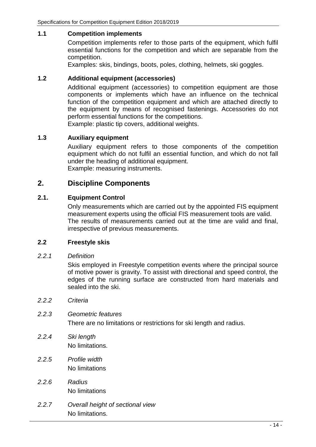#### **1.1 Competition implements**

Competition implements refer to those parts of the equipment, which fulfil essential functions for the competition and which are separable from the competition.

Examples: skis, bindings, boots, poles, clothing, helmets, ski goggles.

#### **1.2 Additional equipment (accessories)**

Additional equipment (accessories) to competition equipment are those components or implements which have an influence on the technical function of the competition equipment and which are attached directly to the equipment by means of recognised fastenings. Accessories do not perform essential functions for the competitions.

Example: plastic tip covers, additional weights.

#### **1.3 Auxiliary equipment**

Auxiliary equipment refers to those components of the competition equipment which do not fulfil an essential function, and which do not fall under the heading of additional equipment. Example: measuring instruments.

### **2. Discipline Components**

#### **2.1. Equipment Control**

Only measurements which are carried out by the appointed FIS equipment measurement experts using the official FIS measurement tools are valid. The results of measurements carried out at the time are valid and final, irrespective of previous measurements.

#### **2.2 Freestyle skis**

#### *2.2.1 Definition*

Skis employed in Freestyle competition events where the principal source of motive power is gravity. To assist with directional and speed control, the edges of the running surface are constructed from hard materials and sealed into the ski.

- *2.2.2 Criteria*
- *2.2.3 Geometric features* There are no limitations or restrictions for ski length and radius.
- *2.2.4 Ski length* No limitations.
- *2.2.5 Profile width* No limitations
- *2.2.6 Radius* No limitations
- *2.2.7 Overall height of sectional view* No limitations.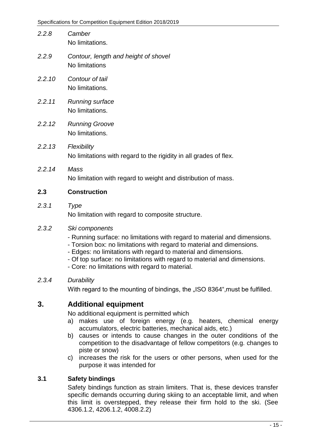- *2.2.8 Camber* No limitations.
- *2.2.9 Contour, length and height of shovel* No limitations
- *2.2.10 Contour of tail* No limitations.
- *2.2.11 Running surface* No limitations.
- *2.2.12 Running Groove* No limitations.
- *2.2.13 Flexibility* No limitations with regard to the rigidity in all grades of flex.
- *2.2.14 Mass* No limitation with regard to weight and distribution of mass.

### **2.3 Construction**

*2.3.1 Type*

No limitation with regard to composite structure.

#### *2.3.2 Ski components*

- Running surface: no limitations with regard to material and dimensions.
- Torsion box: no limitations with regard to material and dimensions.
- Edges: no limitations with regard to material and dimensions.
- Of top surface: no limitations with regard to material and dimensions.
- Core: no limitations with regard to material.

#### *2.3.4 Durability*

With regard to the mounting of bindings, the "ISO 8364", must be fulfilled.

### **3. Additional equipment**

No additional equipment is permitted which

- a) makes use of foreign energy (e.g. heaters, chemical energy accumulators, electric batteries, mechanical aids, etc.)
- b) causes or intends to cause changes in the outer conditions of the competition to the disadvantage of fellow competitors (e.g. changes to piste or snow)
- c) increases the risk for the users or other persons, when used for the purpose it was intended for

#### **3.1 Safety bindings**

Safety bindings function as strain limiters. That is, these devices transfer specific demands occurring during skiing to an acceptable limit, and when this limit is overstepped, they release their firm hold to the ski. (See 4306.1.2, 4206.1.2, 4008.2.2)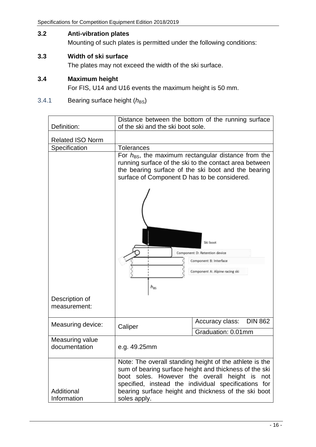### **3.2 Anti-vibration plates**

Mounting of such plates is permitted under the following conditions:

### **3.3 Width of ski surface**

The plates may not exceed the width of the ski surface.

#### **3.4 Maximum height**

For FIS, U14 and U16 events the maximum height is 50 mm.

### 3.4.1 Bearing surface height ( $h_{\text{BS}}$ )

| Definition:                      | of the ski and the ski boot sole.                         | Distance between the bottom of the running surface                                                                                                                                                                                       |
|----------------------------------|-----------------------------------------------------------|------------------------------------------------------------------------------------------------------------------------------------------------------------------------------------------------------------------------------------------|
|                                  |                                                           |                                                                                                                                                                                                                                          |
| <b>Related ISO Norm</b>          |                                                           |                                                                                                                                                                                                                                          |
| Specification                    | Tolerances                                                |                                                                                                                                                                                                                                          |
|                                  | surface of Component D has to be considered.              | For $h_{BS}$ , the maximum rectangular distance from the<br>running surface of the ski to the contact area between<br>the bearing surface of the ski boot and the bearing                                                                |
|                                  | $h_{\rm BS}$                                              | Ski boot<br>Component D: Retention device<br>Component B: Interface<br>Component A: Alpine racing ski                                                                                                                                    |
| Description of<br>measurement:   |                                                           |                                                                                                                                                                                                                                          |
| Measuring device:                | Caliper                                                   | <b>DIN 862</b><br>Accuracy class:                                                                                                                                                                                                        |
|                                  |                                                           | Graduation: 0.01mm                                                                                                                                                                                                                       |
| Measuring value<br>documentation | e.g. 49.25mm                                              |                                                                                                                                                                                                                                          |
| Additional<br>Information        | boot soles. However the overall height is<br>soles apply. | Note: The overall standing height of the athlete is the<br>sum of bearing surface height and thickness of the ski<br>not<br>specified, instead the individual specifications for<br>bearing surface height and thickness of the ski boot |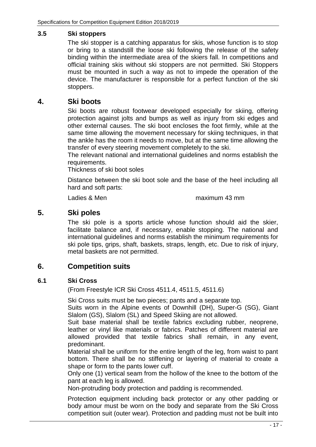#### **3.5 Ski stoppers**

The ski stopper is a catching apparatus for skis, whose function is to stop or bring to a standstill the loose ski following the release of the safety binding within the intermediate area of the skiers fall. In competitions and official training skis without ski stoppers are not permitted. Ski Stoppers must be mounted in such a way as not to impede the operation of the device. The manufacturer is responsible for a perfect function of the ski stoppers.

### **4. Ski boots**

Ski boots are robust footwear developed especially for skiing, offering protection against jolts and bumps as well as injury from ski edges and other external causes. The ski boot encloses the foot firmly, while at the same time allowing the movement necessary for skiing techniques, in that the ankle has the room it needs to move, but at the same time allowing the transfer of every steering movement completely to the ski.

The relevant national and international guidelines and norms establish the requirements.

Thickness of ski boot soles

Distance between the ski boot sole and the base of the heel including all hard and soft parts:

Ladies & Men maximum 43 mm

### **5. Ski poles**

The ski pole is a sports article whose function should aid the skier, facilitate balance and, if necessary, enable stopping. The national and international guidelines and norms establish the minimum requirements for ski pole tips, grips, shaft, baskets, straps, length, etc. Due to risk of injury, metal baskets are not permitted.

### **6. Competition suits**

#### **6.1 Ski Cross**

(From Freestyle ICR Ski Cross 4511.4, 4511.5, 4511.6)

Ski Cross suits must be two pieces; pants and a separate top.

Suits worn in the Alpine events of Downhill (DH), Super-G (SG), Giant Slalom (GS), Slalom (SL) and Speed Skiing are not allowed.

Suit base material shall be textile fabrics excluding rubber, neoprene, leather or vinyl like materials or fabrics. Patches of different material are allowed provided that textile fabrics shall remain, in any event, predominant.

Material shall be uniform for the entire length of the leg, from waist to pant bottom. There shall be no stiffening or layering of material to create a shape or form to the pants lower cuff.

Only one (1) vertical seam from the hollow of the knee to the bottom of the pant at each leg is allowed.

Non-protruding body protection and padding is recommended.

Protection equipment including back protector or any other padding or body amour must be worn on the body and separate from the Ski Cross competition suit (outer wear). Protection and padding must not be built into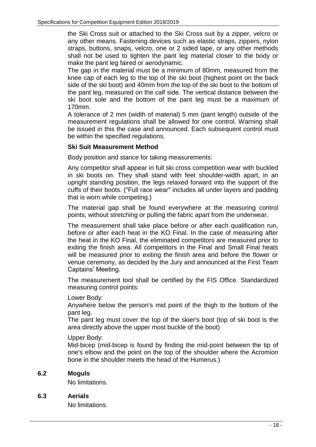the Ski Cross suit or attached to the Ski Cross suit by a zipper, velcro or any other means. Fastening devices such as elastic straps, zippers, nylon straps, buttons, snaps, velcro, one or 2 sided tape, or any other methods shall not be used to tighten the pant leg material closer to the body or make the pant leg faired or aerodynamic.

The gap in the material must be a minimum of 80mm, measured from the knee cap of each leg to the top of the ski boot (highest point on the back side of the ski boot) and 40mm from the top of the ski boot to the bottom of the pant leg, measured on the calf side. The vertical distance between the ski boot sole and the bottom of the pant leg must be a maximum of 170mm.

A tolerance of 2 mm (width of material) 5 mm (pant length) outside of the measurement regulations shall be allowed for one control. Warning shall be issued in this the case and announced. Each subsequent control must be within the specified regulations.

#### **Ski Suit Measurement Method**

Body position and stance for taking measurements:

Any competitor shall appear in full ski cross competition wear with buckled in ski boots on. They shall stand with feet shoulder-width apart, in an upright standing position, the legs relaxed forward into the support of the cuffs of their boots. ("Full race wear" includes all under layers and padding that is worn while competing.)

The material gap shall be found everywhere at the measuring control points, without stretching or pulling the fabric apart from the underwear.

The measurement shall take place before or after each qualification run, before or after each heat in the KO Final. In the case of measuring after the heat in the KO Final, the eliminated competitors are measured prior to exiting the finish area. All competitors in the Final and Small Final heats will be measured prior to exiting the finish area and before the flower or venue ceremony, as decided by the Jury and announced at the First Team Captains' Meeting.

The measurement tool shall be certified by the FIS Office. Standardized measuring control points:

Lower Body:

Anywhere below the person's mid point of the thigh to the bottom of the pant leg.

The pant leg must cover the top of the skier's boot (top of ski boot is the area directly above the upper most buckle of the boot)

#### Upper Body:

Mid-bicep (mid-bicep is found by finding the mid-point between the tip of one's elbow and the point on the top of the shoulder where the Acromion bone in the shoulder meets the head of the Humerus.)

#### **6.2 Moguls**

No limitations.

#### **6.3 Aerials**

No limitations.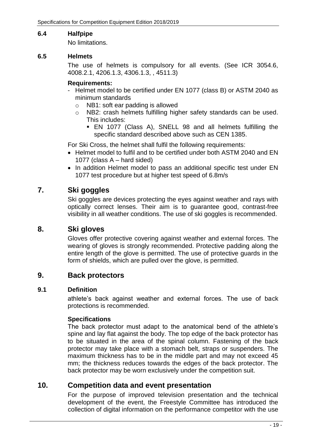#### **6.4 Halfpipe**

No limitations.

#### **6.5 Helmets**

The use of helmets is compulsory for all events. (See ICR 3054.6, 4008.2.1, 4206.1.3, 4306.1.3, , 4511.3)

#### **Requirements:**

- Helmet model to be certified under EN 1077 (class B) or ASTM 2040 as minimum standards
	- o NB1: soft ear padding is allowed
	- o NB2: crash helmets fulfilling higher safety standards can be used. This includes:
		- EN 1077 (Class A), SNELL 98 and all helmets fulfilling the specific standard described above such as CEN 1385.

For Ski Cross, the helmet shall fulfil the following requirements:

- Helmet model to fulfil and to be certified under both ASTM 2040 and EN 1077 (class A – hard sided)
- In addition Helmet model to pass an additional specific test under EN 1077 test procedure but at higher test speed of 6.8m/s

### **7. Ski goggles**

Ski goggles are devices protecting the eyes against weather and rays with optically correct lenses. Their aim is to guarantee good, contrast-free visibility in all weather conditions. The use of ski goggles is recommended.

### **8. Ski gloves**

Gloves offer protective covering against weather and external forces. The wearing of gloves is strongly recommended. Protective padding along the entire length of the glove is permitted. The use of protective guards in the form of shields, which are pulled over the glove, is permitted.

#### **9. Back protectors**

#### **9.1 Definition**

athlete's back against weather and external forces. The use of back protections is recommended.

#### **Specifications**

The back protector must adapt to the anatomical bend of the athlete's spine and lay flat against the body. The top edge of the back protector has to be situated in the area of the spinal column. Fastening of the back protector may take place with a stomach belt, straps or suspenders. The maximum thickness has to be in the middle part and may not exceed 45 mm; the thickness reduces towards the edges of the back protector. The back protector may be worn exclusively under the competition suit.

### **10. Competition data and event presentation**

For the purpose of improved television presentation and the technical development of the event, the Freestyle Committee has introduced the collection of digital information on the performance competitor with the use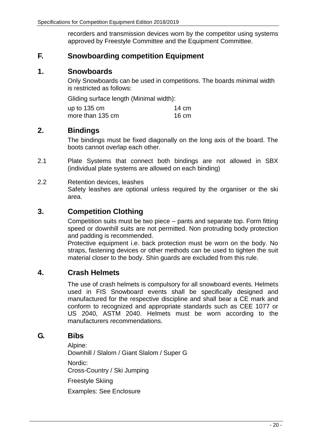recorders and transmission devices worn by the competitor using systems approved by Freestyle Committee and the Equipment Committee.

### **F. Snowboarding competition Equipment**

### **1. Snowboards**

Only Snowboards can be used in competitions. The boards minimal width is restricted as follows:

Gliding surface length (Minimal width):

up to 135 cm 14 cm more than 135 cm 16 cm

### **2. Bindings**

The bindings must be fixed diagonally on the long axis of the board. The boots cannot overlap each other.

2.1 Plate Systems that connect both bindings are not allowed in SBX (individual plate systems are allowed on each binding)

#### 2.2 Retention devices, leashes Safety leashes are optional unless required by the organiser or the ski area.

### **3. Competition Clothing**

Competition suits must be two piece – pants and separate top. Form fitting speed or downhill suits are not permitted. Non protruding body protection and padding is recommended.

Protective equipment i.e. back protection must be worn on the body. No straps, fastening devices or other methods can be used to tighten the suit material closer to the body. Shin guards are excluded from this rule.

### **4. Crash Helmets**

The use of crash helmets is compulsory for all snowboard events. Helmets used in FIS Snowboard events shall be specifically designed and manufactured for the respective discipline and shall bear a CE mark and conform to recognized and appropriate standards such as CEE 1077 or US 2040, ASTM 2040. Helmets must be worn according to the manufacturers recommendations.

### **G. Bibs**

Alpine: Downhill / Slalom / Giant Slalom / Super G Nordic: Cross-Country / Ski Jumping Freestyle Skiing

Examples: See Enclosure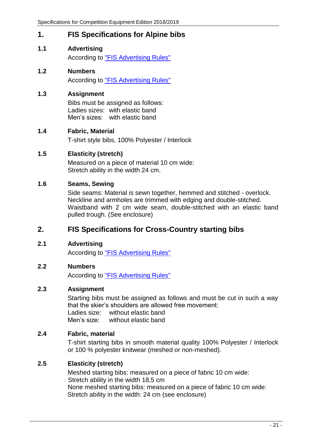### **1. FIS Specifications for Alpine bibs**

- **1.1 Advertising** According to ["FIS Advertising Rules"](http://www.fis-ski.com/mm/Document/documentlibrary/Marketing/06/99/48/AdvertisingRulesEditionJune2018final_Neutral.pdf)
- **1.2 Numbers** According to ["FIS Advertising Rules"](http://www.fis-ski.com/mm/Document/documentlibrary/Marketing/06/99/48/AdvertisingRulesEditionJune2018final_Neutral.pdf)

### **1.3 Assignment**

Bibs must be assigned as follows: Ladies sizes: with elastic band Men's sizes: with elastic band

#### **1.4 Fabric, Material**

T-shirt style bibs, 100% Polyester / Interlock

### **1.5 Elasticity (stretch)**

Measured on a piece of material 10 cm wide: Stretch ability in the width 24 cm.

### **1.6 Seams, Sewing**

Side seams: Material is sewn together, hemmed and stitched - overlock. Neckline and armholes are trimmed with edging and double-stitched. Waistband with 2 cm wide seam, double-stitched with an elastic band pulled trough. (See enclosure)

### **2. FIS Specifications for Cross-Country starting bibs**

#### **2.1 Advertising**

According to ["FIS Advertising Rules"](http://www.fis-ski.com/mm/Document/documentlibrary/Marketing/06/99/48/AdvertisingRulesEditionJune2018final_Neutral.pdf)

#### **2.2 Numbers**

According to ["FIS Advertising Rules"](http://www.fis-ski.com/mm/Document/documentlibrary/Marketing/06/99/48/AdvertisingRulesEditionJune2018final_Neutral.pdf)

#### **2.3 Assignment**

Starting bibs must be assigned as follows and must be cut in such a way that the skier's shoulders are allowed free movement: Ladies size: without elastic band Men's size: without elastic band

#### **2.4 Fabric, material**

T-shirt starting bibs in smooth material quality 100% Polyester / Interlock or 100 % polyester knitwear (meshed or non-meshed).

### **2.5 Elasticity (stretch)**

Meshed starting bibs: measured on a piece of fabric 10 cm wide: Stretch ability in the width 18,5 cm None meshed starting bibs: measured on a piece of fabric 10 cm wide: Stretch ability in the width: 24 cm (see enclosure)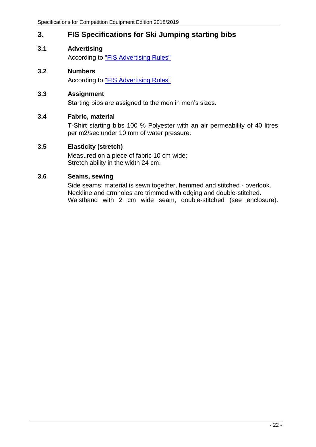### **3. FIS Specifications for Ski Jumping starting bibs**

- **3.1 Advertising** According to ["FIS Advertising Rules"](http://www.fis-ski.com/mm/Document/documentlibrary/Marketing/06/99/48/AdvertisingRulesEditionJune2018final_Neutral.pdf)
- **3.2 Numbers** According to ["FIS Advertising Rules"](http://www.fis-ski.com/mm/Document/documentlibrary/Marketing/06/99/48/AdvertisingRulesEditionJune2018final_Neutral.pdf)

#### **3.3 Assignment**

Starting bibs are assigned to the men in men's sizes.

#### **3.4 Fabric, material**

T-Shirt starting bibs 100 % Polyester with an air permeability of 40 litres per m2/sec under 10 mm of water pressure.

#### **3.5 Elasticity (stretch)**

Measured on a piece of fabric 10 cm wide: Stretch ability in the width 24 cm.

#### **3.6 Seams, sewing**

Side seams: material is sewn together, hemmed and stitched - overlook. Neckline and armholes are trimmed with edging and double-stitched. Waistband with 2 cm wide seam, double-stitched (see enclosure).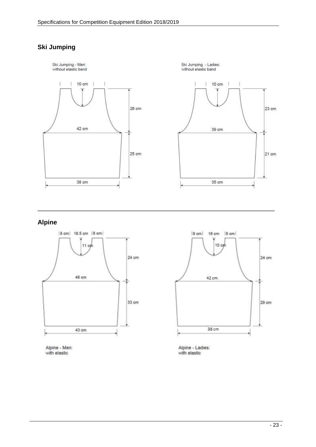### **Ski Jumping**



\_\_\_\_\_\_\_\_\_\_\_\_\_\_\_\_\_\_\_\_\_\_\_\_\_\_\_\_\_\_\_\_\_\_\_\_\_\_\_\_\_\_\_\_\_\_\_\_\_\_\_\_\_\_\_\_\_\_\_\_\_\_\_\_\_\_\_

### **Alpine**







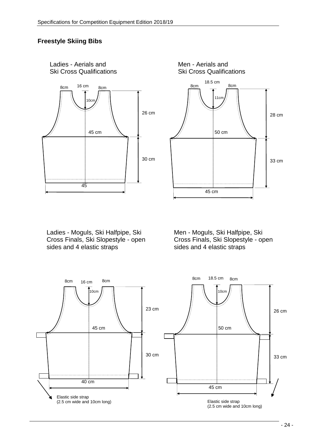### **Freestyle Skiing Bibs**

Ladies - Aerials and





Ladies - Moguls, Ski Halfpipe, Ski Cross Finals, Ski Slopestyle - open sides and 4 elastic straps

Men - Moguls, Ski Halfpipe, Ski Cross Finals, Ski Slopestyle - open sides and 4 elastic straps

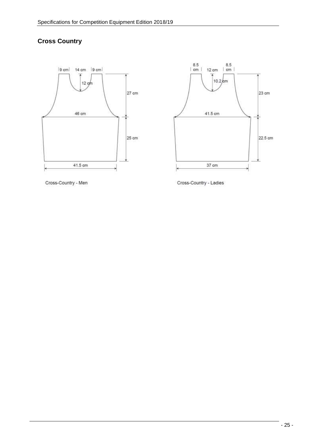### **Cross Country**





Cross-Country - Men

Cross-Country - Ladies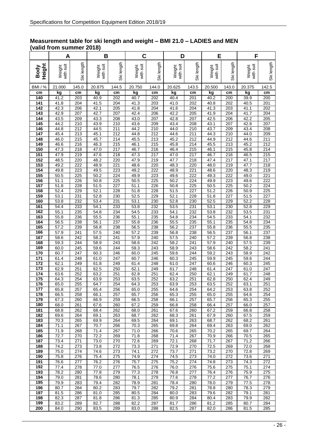#### **Measurement table for ski length and weight – BMI 21.0 – LADIES and MEN (valid from summer 2018)**

|                | Α                         |            | B                   |                         |                     | C          |                           | D          |                     | E          |                     | F          |  |
|----------------|---------------------------|------------|---------------------|-------------------------|---------------------|------------|---------------------------|------------|---------------------|------------|---------------------|------------|--|
| Height<br>Body | with suit<br>Weight       | Ski length | with suit<br>Weight | Ski length              | with suit<br>Weight | Ski length | with suit<br>Weight       | Ski length | with suit<br>Weight | Ski length | with suit<br>Weight | Ski length |  |
| <b>BMI</b> / % | 21.000                    | 145.0      | 20.875              | 144.5                   | 20.750              | 144.0      | 20.625                    | 143.5      | 20.500              | 143.0      | 20.375              | 142.5      |  |
| cm<br>140      | kg<br>41.2                | cm<br>203  | kg<br>40.9          | cm<br>202               | kg<br>40.7          | cm<br>202  | kg<br>40.4                | cm<br>201  | kg<br>40.2          | cm<br>200  | kg<br>39.9          | cm<br>200  |  |
| 141            | 41.8                      | 204        | 41.5                | 204                     | 41.3                | 203        | 41.0                      | 202        | 40.8                | 202        | 40.5                | 201        |  |
| 142            | 42.3                      | 206        | 42.1                | 205                     | 41.8                | 204        | 41.6                      | 204        | 41.3                | 203        | 41.1                | 202        |  |
| 143            | 42.9                      | 207        | 42.7                | 207                     | 42.4                | 206        | 42.2                      | 205        | 41.9                | 204        | 41.7                | 204        |  |
| 144<br>145     | 43.5<br>44.2              | 209<br>210 | 43.3<br>43.9        | 208<br>210              | 43.0<br>43.6        | 207<br>209 | 42.8<br>43.4              | 207<br>208 | 42.5<br>43.1        | 206<br>207 | 42.2<br>42.8        | 205<br>207 |  |
| 146            | 44.8                      | 212        | 44.5                | 211                     | 44.2                | 210        | 44.0                      | 210        | 43.7                | 209        | 43.4                | 208        |  |
| 147            | 45.4                      | 213        | 45.1                | 212                     | 44.8                | 212        | 44.6                      | 211        | 44.3                | 210        | 44.0                | 209        |  |
| 148<br>149     | 46.0<br>46.6              | 215<br>216 | 45.7<br>46.3        | 214<br>215              | 45.5<br>46.1        | 213<br>215 | 45.2<br>45.8              | 212<br>214 | 44.9<br>45.5        | 212<br>213 | 44.6<br>45.2        | 211<br>212 |  |
| 150            | 47.3                      | 218        | 47.0                | 217                     | 46.7                | 216        | 46.4                      | 215        | 46.1                | 215        | 45.8                | 214        |  |
| 151            | 47.9                      | 219        | 47.6                | 218                     | 47.3                | 217        | 47.0                      | 217        | 46.7                | 216        | 46.5                | 215        |  |
| 152<br>153     | 48.5<br>49.2              | 220        | 48.2                | 220                     | 47.9<br>48.6        | 219<br>220 | 47.7<br>48.3              | 218<br>220 | 47.4<br>48.0        | 217        | 47.1<br>47.7        | 217        |  |
| 154            | 49.8                      | 222<br>223 | 48.9<br>49.5        | 221<br>223              | 49.2                | 222        | 48.9                      | 221        | 48.6                | 219<br>220 | 48.3                | 218<br>219 |  |
| 155            | 50.5                      | 225        | 50.2                | 224                     | 49.9                | 223        | 49.6                      | 222        | 49.3                | 222        | 49.0                | 221        |  |
| 156            | 51.1                      | 226        | 50.8                | 225                     | 50.5                | 225        | 50.2                      | 224        | 49.9                | 223        | 49.6                | 222        |  |
| 157<br>158     | 51.8<br>52.4              | 228<br>229 | 51.5<br>52.1        | 227<br>228              | 51.1<br>51.8        | 226<br>228 | 50.8<br>51.5              | 225<br>227 | 50.5<br>51.2        | 225<br>226 | 50.2<br>50.9        | 224<br>225 |  |
| 159            | 53.1                      | 231        | 52.8                | 230                     | 52.5                | 229        | 52.1                      | 228        | 51.8                | 227        | 51.5                | 227        |  |
| 160            | 53.8                      | 232        | 53.4                | 231                     | 53.1                | 230        | 52.8                      | 230        | 52.5                | 229        | 52.2                | 228        |  |
| 161<br>162     | 54.4<br>55.1              | 233<br>235 | 54.1<br>54.8        | 233<br>234              | 53.8<br>54.5        | 232<br>233 | 53.5<br>54.1              | 231<br>232 | 53.1<br>53.8        | 230<br>232 | 52.8<br>53.5        | 229<br>231 |  |
| 163            | 55.8                      | 236        | 55.5                | 236                     | 55.1                | 235        | 54.8                      | 234        | 54.5                | 233        | 54.1                | 232        |  |
| 164            | 56.5                      | 238        | 56.1                | 237                     | 55.8                | 236        | 55.5                      | 235        | 55.1                | 235        | 54.8                | 234        |  |
| 165<br>166     | 57.2                      | 239        | 56.8                | 238                     | 56.5                | 238        | 56.2                      | 237        | 55.8                | 236        | 55.5                | 235        |  |
| 167            | $\overline{57.9}$<br>58.6 | 241<br>242 | 57.5<br>58.2        | 240<br>$\overline{241}$ | 57.2<br>57.9        | 239<br>240 | 56.8<br>$\overline{57.5}$ | 238<br>240 | 56.5<br>57.2        | 237<br>239 | 56.1<br>56.8        | 237<br>238 |  |
| 168            | 59.3                      | 244        | 58.9                | 243                     | 58.6                | 242        | 58.2                      | 241        | 57.9                | 240        | 57.5                | 239        |  |
| 169<br>170     | 60.0                      | 245        | 59.6                | 244                     | 59.3                | 243        | 58.9                      | 243        | 58.6                | 242        | 58.2                | 241        |  |
| 171            | 60.7<br>61.4              | 247<br>248 | 60.3<br>61.0        | 246<br>247              | 60.0<br>60.7        | 245<br>246 | 59.6<br>60.3              | 244<br>245 | 59.2<br>59.9        | 243<br>245 | 58.9<br>59.6        | 242<br>244 |  |
| 172            | 62.1                      | 249        | 61.8                | 249                     | 61.4                | 248        | 61.0                      | 247        | 60.6                | 246        | 60.3                | 245        |  |
| 173            | 62.9                      | 251        | 62.5                | 250                     | 62.1                | 249        | 61.7                      | 248        | 61.4                | 247        | 61.0                | 247        |  |
| 174<br>175     | 63.6<br>64.3              | 252<br>254 | 63.2<br>63.9        | 251<br>253              | 62.8<br>63.5        | 251<br>252 | 62.4<br>63.2              | 250<br>251 | 62.1<br>62.8        | 249<br>250 | 61.7<br>62.4        | 248<br>249 |  |
| 176            | 65.0                      | 255        | 64.7                | 254                     | 64.3                | 253        | 63.9                      | 253        | 63.5                | 252        | 63.1                | 251        |  |
| 177            | 65.8                      | 257        | 65.4                | 256                     | 65.0                | 255        | 64.6                      | 254        | 64.2                | 253        | 63.8                | 252        |  |
| 178<br>179     | 66.5<br>67.3              | 258<br>260 | 66.1<br>66.9        | 257<br>259              | 65.7<br>66.5        | 256<br>258 | 65.3<br>66.1              | 255<br>257 | 65.0<br>65.7        | 255<br>256 | 64.6<br>65.3        | 254<br>255 |  |
| 180            | 68.0                      | 261        | 67.6                | 260                     | 67.2                | 259        | 66.8                      | 258        | 66.4                | 257        | 66.0                | 257        |  |
| 181            | 68.8                      | 262        | 68.4                | 262                     | 68.0                | 261        | 67.6                      | 260        | 67.2                | 259        | 66.8                | 258        |  |
| 182<br>183     | 69.6<br>70.3              | 264<br>265 | 69.1<br>69.9        | 263<br>264              | 68.7<br>69.5        | 262<br>264 | 68.3<br>69.1              | 261<br>263 | 67.9<br>68.7        | 260<br>262 | 67.5<br>68.2        | 259<br>261 |  |
| 184            | 71.1                      | 267        | 70.7                | 266                     | 70.3                | 265        | 69.8                      | 264        | 69.4                | 263        | 69.0                | 262        |  |
| 185            | 71.9                      | 268        | 71.4                | 267                     | 71.0                | 266        | 70.6                      | 265        | 70.2                | 265        | 69.7                | 264        |  |
| 186<br>187     | 72.7<br>73.4              | 270<br>271 | 72.2<br>73.0        | 269<br>270              | 71.8<br>72.6        | 268<br>269 | 71.4<br>72.1              | 267<br>268 | 70.9<br>71.7        | 266<br>267 | 70.5<br>71.2        | 265<br>266 |  |
| 188            | 74.2                      | 273        | 73.8                | 272                     | 73.3                | 271        | 72.9                      | 270        | 72.5                | 269        | 72.0                | 268        |  |
| 189            | 75.0                      | 274        | 74.6                | 273                     | 74.1                | 272        | 73.7                      | 271        | 73.2                | 270        | 72.8                | 269        |  |
| 190<br>191     | 75.8<br>$76.\overline{6}$ | 276<br>277 | 75.4<br>76.2        | 275<br>276              | 74.9<br>75.7        | 274<br>275 | 74.5<br>75.2              | 273<br>274 | 74.0<br>74.8        | 272<br>273 | 73.6<br>74.3        | 271<br>272 |  |
| 192            | 77.4                      | 278        | 77.0                | 277                     | 76.5                | 276        | 76.0                      | 276        | 75.6                | 275        | 75.1                | 274        |  |
| 193            | 78.2                      | 280        | 77.8                | 279                     | 77.3                | 278        | 76.8                      | 277        | 76.4                | 276        | 75.9                | 275        |  |
| 194            | 79.0                      | 281        | 78.6                | 280                     | 78.1                | 279        | 77.6                      | 278        | 77.2                | 277        | 76.7                | 276        |  |
| 195<br>196     | 79.9<br>80.7              | 283<br>284 | 79.4<br>80.2        | 282<br>283              | 78.9<br>79.7        | 281<br>282 | 78.4<br>79.2              | 280<br>281 | 78.0<br>78.8        | 279<br>280 | 77.5<br>78.3        | 278<br>279 |  |
| 197            | 81.5                      | 286        | 81.0                | 285                     | 80.5                | 284        | 80.0                      | 283        | 79.6                | 282        | 79.1                | 281        |  |
| 198            | 82.3                      | 287        | 81.8                | 286                     | 81.3                | 285        | 80.9                      | 284        | 80.4                | 283        | 79.9                | 282        |  |
| 199<br>200     | 83.2<br>84.0              | 289<br>290 | 82.7<br>83.5        | 288<br>289              | 82.2<br>83.0        | 287<br>288 | 81.7<br>82.5              | 286<br>287 | 81.2<br>82.0        | 285<br>286 | 80.7<br>81.5        | 284<br>285 |  |
|                |                           |            |                     |                         |                     |            |                           |            |                     |            |                     |            |  |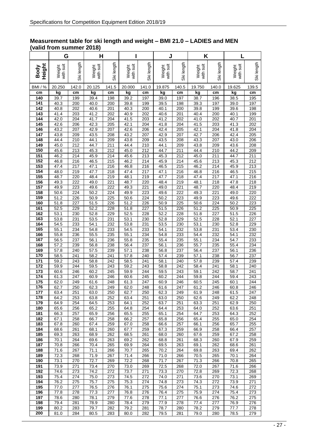#### **Measurement table for ski length and weight – BMI 21.0 – LADIES and MEN (valid from summer 2018)**

|                | G                   |                  | н                         |            |                     |                         | J                   |            | K                   |                         | L                       |                         |
|----------------|---------------------|------------------|---------------------------|------------|---------------------|-------------------------|---------------------|------------|---------------------|-------------------------|-------------------------|-------------------------|
| Height<br>Body | with suit<br>Weight | Ski length       | with suit<br>Weight       | Ski length | with suit<br>Weight | Ski length              | with suit<br>Weight | Ski length | with suit<br>Weight | Ski length              | suit<br>Weight<br>with: | Ski length              |
| <b>BMI</b> / % | 20.250              | 142.0            | 20.125                    | 141.5      | 20.000              | 141.0                   | 19.875              | 140.5      | 19.750              | 140.0                   | 19.625                  | 139.5                   |
| cm             | kg                  | cm               | kg                        | cm         | kg                  | cm                      | kg                  | cm         | kg                  | cm                      | kg                      | cm                      |
| 140            | 39.7                | 199              | 39.4                      | 198        | 39.2                | 197                     | 39.0                | 197        | 38.7                | 196                     | 38.5                    | 195                     |
| 141<br>142     | 40.3<br>40.8        | 200<br>202       | 40.0<br>40.6              | 200<br>201 | 39.8<br>40.3        | 199<br>200              | 39.5<br>40.1        | 198<br>200 | 39.3<br>39.8        | 197<br>199              | 39.0<br>39.6            | 197<br>198              |
| 143            | 41.4                | 203              | 41.2                      | 202        | 40.9                | 202                     | 40.6                | 201        | 40.4                | 200                     | 40.1                    | 199                     |
| 144            | 42.0                | 204              | 41.7                      | 204        | 41.5                | 203                     | 41.2                | 202        | 41.0                | 202                     | 40.7                    | 201                     |
| 145            | 42.6                | 206              | 42.3                      | 205        | 42.1                | 204                     | 41.8                | 204        | 41.5                | 203                     | 41.3                    | 202                     |
| 146<br>147     | 43.2<br>43.8        | 207<br>209       | 42.9<br>43.5              | 207<br>208 | 42.6<br>43.2        | 206<br>207              | 42.4<br>42.9        | 205<br>207 | 42.1<br>42.7        | 204<br>206              | 41.8<br>42.4            | 204<br>205              |
| 148            | 44.4                | 210              | 44.1                      | 209        | 43.8                | 209                     | 43.5                | 208        | 43.3                | 207                     | 43.0                    | 206                     |
| 149            | 45.0                | $\overline{212}$ | 44.7                      | 211        | 44.4                | 210                     | 44.1                | 209        | 43.8                | 209                     | 43.6                    | 208                     |
| 150            | 45.6                | 213              | 45.3                      | 212        | 45.0                | $\overline{212}$        | 44.7                | 211        | 44.4                | 210                     | 44.2                    | 209                     |
| 151<br>152     | 46.2<br>46.8        | 214<br>216       | 45.9<br>46.5              | 214<br>215 | 45.6<br>46.2        | 213<br>$\overline{214}$ | 45.3<br>45.9        | 212<br>214 | 45.0<br>45.6        | 211<br>$\overline{213}$ | 44.7<br>45.3            | 211<br>212              |
| 153            | 47.4                | 217              | 47.1                      | 216        | 46.8                | 216                     | 46.5                | 215        | 46.2                | 214                     | 45.9                    | $\overline{213}$        |
| 154            | 48.0                | 219              | 47.7                      | 218        | 47.4                | 217                     | 47.1                | 216        | 46.8                | 216                     | 46.5                    | 215                     |
| 155            | 48.7                | 220              | 48.4                      | 219        | 48.1                | 219                     | 47.7                | 218        | 47.4                | $\overline{217}$        | 47.1                    | 216                     |
| 156<br>157     | 49.3<br>49.9        | 222<br>223       | 49.0<br>49.6              | 221<br>222 | 48.7<br>49.3        | 220<br>221              | 48.4<br>49.0        | 219<br>221 | 48.1<br>48.7        | 218<br>220              | 47.8<br>48.4            | 218<br>$\overline{219}$ |
| 158            | 50.6                | 224              | 50.2                      | 224        | 49.9                | 223                     | 49.6                | 222        | 49.3                | $\overline{221}$        | 49.0                    | 220                     |
| 159            | 51.2                | 226              | 50.9                      | 225        | 50.6                | 224                     | 50.2                | 223        | 49.9                | 223                     | 49.6                    | 222                     |
| 160            | 51.8                | 227              | 51.5                      | 226        | 51.2                | 226                     | 50.9                | 225        | 50.6                | 224                     | 50.2                    | 223                     |
| 161            | 52.5                | 229              | 52.2                      | 228        | 51.8                | 227                     | 51.5                | 226        | 51.2                | $\overline{225}$        | 50.9                    | 225                     |
| 162<br>163     | 53.1<br>53.8        | 230<br>231       | $\overline{52.8}$<br>53.5 | 229<br>231 | 52.5<br>53.1        | 228<br>230              | 52.2<br>52.8        | 228<br>229 | 51.8<br>52.5        | 227<br>228              | 51.5<br>52.1            | 226<br>227              |
| 164            | 54.5                | 233              | 54.1                      | 232        | 53.8                | 231                     | 53.5                | 230        | 53.1                | 230                     | 52.8                    | 229                     |
| 165            | 55.1                | 234              | 54.8                      | 233        | 54.5                | 233                     | 54.1                | 232        | 53.8                | 231                     | 53.4                    | 230                     |
| 166<br>167     | 55.8<br>56.5        | 236<br>237       | 55.5<br>56.1              | 235        | 55.1                | 234<br>235              | 54.8                | 233        | 54.4<br>55.1        | 232<br>234              | 54.1<br>54.7            | 232<br>233              |
| 168            | 57.2                | 239              | 56.8                      | 236<br>238 | 55.8<br>56.4        | 237                     | 55.4<br>56.1        | 235<br>236 | 55.7                | 235                     | 55.4                    | 234                     |
| 169            | 57.8                | 240              | 57.5                      | 239        | 57.1                | 238                     | 56.8                | 237        | 56.4                | 237                     | 56.1                    | 236                     |
| 170            | 58.5                | 241              | 58.2                      | 241        | 57.8                | 240                     | 57.4                | 239        | 57.1                | 238                     | 56.7                    | 237                     |
| 171            | 59.2                | 243              | 58.8                      | 242        | 58.5                | 241                     | 58.1                | 240        | $\overline{57.8}$   | 239                     | $\overline{57.4}$       | 239                     |
| 172<br>173     | 59.9<br>60.6        | 244<br>246       | 59.5<br>60.2              | 243<br>245 | 59.2<br>59.9        | 243<br>244              | 58.8<br>59.5        | 242<br>243 | 58.4<br>59.1        | 241<br>242              | 58.1<br>58.7            | 240<br>241              |
| 174            | 61.3                | 247              | 60.9                      | 246        | 60.6                | 245                     | 60.2                | 244        | 59.8                | 244                     | 59.4                    | 243                     |
| 175            | 62.0                | 249              | 61.6                      | 248        | 61.3                | 247                     | 60.9                | 246        | 60.5                | 245                     | 60.1                    | 244                     |
| 176<br>177     | 62.7<br>63.4        | 250<br>251       | 62.3<br>63.0              | 249<br>250 | 62.0<br>62.7        | 248<br>250              | 61.6<br>62.3        | 247<br>249 | 61.2<br>61.9        | 246<br>248              | 60.8<br>61.5            | 246<br>247              |
| 178            | 64.2                | 253              | 63.8                      | 252        | 63.4                | 251                     | 63.0                | 250        | 62.6                | 249                     | 62.2                    | 248                     |
| 179            | 64.9                | 254              | 64.5                      | 253        | 64.1                | 252                     | 63.7                | 251        | 63.3                | 251                     | 62.9                    | 250                     |
| 180            | 65.6                | 256              | 65.2                      | 255        | 64.8                | 254                     | 64.4                | 253        | 64.0                | 252                     | 63.6                    | 251                     |
| 181<br>182     | 66.3<br>67.1        | 257<br>258       | 65.9<br>66.7              | 256<br>258 | 65.5<br>66.2        | 255<br>257              | 65.1<br>65.8        | 254<br>256 | 64.7<br>65.4        | 253<br>255              | 64.3<br>65.0            | 252<br>254              |
| 183            | 67.8                | 260              | 67.4                      | 259        | 67.0                | 258                     | 66.6                | 257        | 66.1                | 256                     | 65.7                    | 255                     |
| 184            | 68.6                | 261              | 68.1                      | 260        | 67.7                | 259                     | 67.3                | 259        | 66.9                | 258                     | 66.4                    | 257                     |
| 185            | 69.3                | 263              | 68.9                      | 262        | 68.5                | 261                     | 68.0                | 260        | 67.6                | 259                     | 67.2                    | 258                     |
| 186<br>187     | 70.1<br>70.8        | 264<br>266       | 69.6<br>70.4              | 263<br>265 | 69.2<br>69.9        | 262<br>264              | 68.8<br>69.5        | 261<br>263 | 68.3<br>69.1        | 260<br>262              | 67.9<br>68.6            | 259<br>261              |
| 188            | 71.6                | 267              | 71.1                      | 266        | 70.7                | 265                     | 70.2                | 264        | 69.8                | 263                     | 69.4                    | 262                     |
| 189            | 72.3                | 268              | 71.9                      | 267        | 71.4                | 266                     | 71.0                | 266        | 70.5                | 265                     | 70.1                    | 264                     |
| 190            | 73.1                | 270              | 72.7                      | 269        | 72.2                | 268                     | 71.7                | 267        | 71.3                | 266                     | 70.8                    | 265                     |
| 191<br>192     | 73.9<br>74.6        | 271<br>273       | 73.4<br>74.2              | 270<br>272 | 73.0<br>73.7        | 269<br>271              | 72.5<br>73.3        | 268<br>270 | 72.0<br>72.8        | 267<br>269              | 71.6<br>72.3            | 266<br>268              |
| 193            | 75.4                | 274              | 75.0                      | 273        | 74.5                | 272                     | 74.0                | 271        | 73.6                | 270                     | 73.1                    | 269                     |
| 194            | 76.2                | 275              | 75.7                      | 275        | 75.3                | 274                     | 74.8                | 273        | 74.3                | 272                     | 73.9                    | 271                     |
| 195            | 77.0                | 277              | 76.5                      | 276        | 76.1                | 275                     | 75.6                | 274        | 75.1                | 273                     | 74.6                    | 272                     |
| 196<br>197     | 77.8<br>78.6        | 278<br>280       | 77.3<br>78.1              | 277<br>279 | 76.8<br>77.6        | 276<br>278              | 76.4<br>77.1        | 275<br>277 | 75.9<br>76.6        | 274<br>276              | 75.4<br>76.2            | 273<br>275              |
| 198            | 79.4                | 281              | 78.9                      | 280        | 78.4                | 279                     | 77.9                | 278        | 77.4                | 277                     | 76.9                    | 276                     |
| 199            | 80.2                | 283              | 79.7                      | 282        | 79.2                | 281                     | 78.7                | 280        | 78.2                | 279                     | 77.7                    | 278                     |
| 200            | 81.0                | 284              | 80.5                      | 283        | 80.0                | 282                     | 79.5                | 281        | 79.0                | 280                     | 78.5                    | 279                     |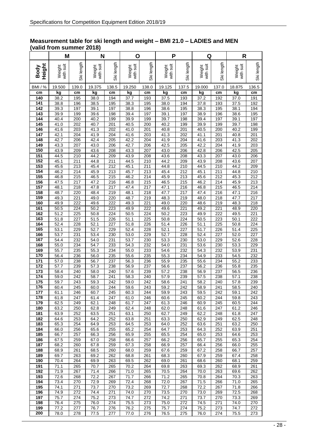#### **Measurement table for ski length and weight – BMI 21.0 – LADIES and MEN (valid from summer 2018)**

|                | M                   |                  | N                   |                         | О                   |                                      | P                   |                  | Q                   |            | R                         |                         |
|----------------|---------------------|------------------|---------------------|-------------------------|---------------------|--------------------------------------|---------------------|------------------|---------------------|------------|---------------------------|-------------------------|
| Height<br>Body | with suit<br>Weight | Ski length       | with suit<br>Weight | Ski length              | with suit<br>Weight | Ski length                           | with suit<br>Weight | Ski length       | with suit<br>Weight | Ski length | with suit<br>Weight       | Ski length              |
| <b>BMI</b> / % | 19.500              | 139.0            | 19.375              | 138.5                   | 19.250              | 138.0                                | 19.125              | 137.5            | 19.000              | 137.0      | 18.875                    | 136.5                   |
| cm             | kg                  | cm               | kg                  | cm                      | kg                  | cm                                   | kg                  | cm               | kg                  | cm         | kg                        | cm                      |
| 140<br>141     | 38.2<br>38.8        | 195<br>196       | 38.0<br>38.5        | 194<br>195              | 37.7<br>38.3        | 193<br>195                           | 37.5<br>38.0        | 193<br>194       | 37.2<br>37.8        | 192<br>193 | 37.0<br>37.5              | 191<br>192              |
| 142            | 39.3                | 197              | 39.1                | 197                     | 38.8                | 196                                  | 38.6                | 195              | 38.3                | 195        | 38.1                      | 194                     |
| 143            | 39.9                | 199              | 39.6                | 198                     | 39.4                | 197                                  | 39.1                | 197              | 38.9                | 196        | 38.6                      | 195                     |
| 144            | 40.4                | 200              | 40.2                | 199                     | 39.9<br>40.5        | 199                                  | 39.7                | 198              | 39.4                | 197        | 39.1                      | 197                     |
| 145<br>146     | 41.0<br>41.6        | 202<br>203       | 40.7<br>41.3        | 201<br>202              | 41.0                | 200<br>201                           | 40.2<br>40.8        | 199<br>201       | 39.9<br>40.5        | 199<br>200 | 39.7<br>40.2              | 198<br>199              |
| 147            | 42.1                | 204              | 41.9                | 204                     | 41.6                | 203                                  | 41.3                | 202              | 41.1                | 201        | 40.8                      | $\overline{201}$        |
| 148            | 42.7                | 206              | 42.4                | 205                     | 42.2                | 204                                  | 41.9                | 204              | 41.6                | 203        | 41.3                      | 202                     |
| 149<br>150     | 43.3<br>43.9        | 207<br>209       | 43.0<br>43.6        | 206<br>208              | 42.7<br>43.3        | 206<br>207                           | 42.5<br>43.0        | 205<br>206       | 42.2<br>42.8        | 204<br>206 | 41.9<br>42.5              | 203<br>205              |
| 151            | 44.5                | 210              | 44.2                | 209                     | 43.9                | 208                                  | 43.6                | 208              | 43.3                | 207        | 43.0                      | 206                     |
| 152            | 45.1                | 211              | 44.8                | 211                     | 44.5                | 210                                  | 44.2                | 209              | 43.9                | 208        | 43.6                      | 207                     |
| 153            | 45.6                | 213              | 45.4                | 212                     | 45.1                | 211                                  | 44.8                | 210              | 44.5                | 210        | 44.2                      | 209                     |
| 154<br>155     | 46.2<br>46.8        | 214<br>215       | 45.9<br>46.5        | 213<br>$\overline{215}$ | 45.7<br>46.2        | $\overline{213}$<br>$\overline{214}$ | 45.4<br>45.9        | 212<br>213       | 45.1<br>45.6        | 211<br>212 | 44.8<br>45.3              | 210<br>212              |
| 156            | 47.5                | 217              | 47.2                | 216                     | 46.8                | $\overline{215}$                     | 46.5                | $\overline{215}$ | 46.2                | 214        | 45.9                      | $\overline{213}$        |
| 157            | 48.1                | $\overline{218}$ | 47.8                | 217                     | $\overline{47.4}$   | $\overline{217}$                     | 47.1                | 216              | 46.8                | 215        | 46.5                      | $\overline{214}$        |
| 158            | 48.7                | 220              | 48.4                | 219                     | 48.1                | 218                                  | 47.7                | 217              | 47.4                | 216        | $\overline{47}.1$         | 216                     |
| 159<br>160     | 49.3<br>49.9        | 221<br>222       | 49.0<br>49.6        | 220<br>222              | 48.7<br>49.3        | 219<br>221                           | 48.3<br>49.0        | 219<br>220       | 48.0<br>48.6        | 218<br>219 | 47.7<br>48.3              | 217<br>$\overline{218}$ |
| 161            | 50.5                | 224              | 50.2                | 223                     | 49.9                | 222                                  | 49.6                | 221              | 49.2                | 221        | 48.9                      | 220                     |
| 162            | 51.2                | 225              | 50.8                | 224                     | 50.5                | 224                                  | 50.2                | 223              | 49.9                | 222        | 49.5                      | 221                     |
| 163            | 51.8<br>52.4        | 227              | 51.5                | 226                     | 51.1<br>51.8        | 225                                  | 50.8<br>51.4        | 224              | 50.5                | 223        | 50.1                      | 222                     |
| 164<br>165     | 53.1                | 228<br>229       | 52.1<br>52.7        | 227<br>229              | 52.4                | 226<br>228                           | 52.1                | 226<br>227       | 51.1<br>51.7        | 225<br>226 | 50.8<br>51.4              | 224<br>225              |
| 166            | 53.7                | 231              | 53.4                | 230                     | 53.0                | 229                                  | 52.7                | 228              | 52.4                | 227        | 52.0                      | 227                     |
| 167            | 54.4                | 232              | 54.0                | 231                     | 53.7                | 230                                  | 53.3                | 230              | 53.0                | 229        | 52.6                      | 228                     |
| 168<br>169     | 55.0<br>55.7        | 234<br>235       | 54.7<br>55.3        | 233<br>234              | 54.3<br>55.0        | 232<br>233                           | 54.0<br>54.6        | 231<br>232       | 53.6<br>54.3        | 230<br>232 | 53.3<br>53.9              | 229<br>231              |
| 170            | 56.4                | 236              | 56.0                | 235                     | 55.6                | 235                                  | 55.3                | 234              | 54.9                | 233        | 54.5                      | 232                     |
| 171            | 57.0                | 238              | 56.7                | 237                     | 56.3                | 236                                  | 55.9                | 235              | 55.6                | 234        | 55.2                      | 233                     |
| 172            | 57.7                | 239              | 57.3                | 238                     | 56.9                | 237                                  | 56.6                | 237              | 56.2                | 236        | 55.8                      | 235                     |
| 173<br>174     | 58.4<br>59.0        | 240<br>242       | 58.0<br>58.7        | 240<br>241              | 57.6<br>58.3        | 239<br>240                           | 57.2<br>57.9        | 238<br>239       | 56.9<br>57.5        | 237<br>238 | 56.5<br>$\overline{57.1}$ | 236<br>238              |
| 175            | 59.7                | 243              | 59.3                | 242                     | 59.0                | 242                                  | 58.6                | 241              | 58.2                | 240        | 57.8                      | 239                     |
| 176            | 60.4                | 245              | 60.0                | 244                     | 59.6                | 243                                  | 59.2                | 242              | 58.9                | 241        | 58.5                      | 240                     |
| 177<br>178     | 61.1<br>61.8        | 246<br>247       | 60.7                | 245<br>247              | 60.3                | 244<br>246                           | 59.9<br>60.6        | 243<br>245       | 59.5<br>60.2        | 242<br>244 | 59.1<br>59.8              | 242<br>243              |
| 179            | 62.5                | 249              | 61.4<br>62.1        | 248                     | 61.0<br>61.7        | 247                                  | 61.3                | 246              | 60.9                | 245        | 60.5                      | 244                     |
| 180            | 63.2                | 250              | 62.8                | 249                     | 62.4                | 248                                  | 62.0                | 248              | 61.6                | 247        | 61.2                      | 246                     |
| 181            | 63.9                | 252              | 63.5                | 251                     | 63.1                | 250                                  | 62.7                | 249              | 62.2                | 248        | 61.8                      | 247                     |
| 182<br>183     | 64.6<br>65.3        | 253<br>254       | 64.2<br>64.9        | 252<br>253              | 63.8<br>64.5        | 251<br>253                           | 63.3<br>64.0        | 250<br>252       | 62.9<br>63.6        | 249<br>251 | 62.5<br>63.2              | 248<br>250              |
| 184            | 66.0                | 256              | 65.6                | 255                     | 65.2                | 254                                  | 64.7                | 253              | 64.3                | 252        | 63.9                      | 251                     |
| 185            | 66.7                | 257              | 66.3                | 256                     | 65.9                | 255                                  | 65.5                | 254              | 65.0                | 253        | 64.6                      | 253                     |
| 186<br>187     | 67.5<br>68.2        | 259<br>260       | 67.0                | 258<br>259              | 66.6<br>67.3        | 257                                  | 66.2                | 256<br>257       | 65.7<br>66.4        | 255        | 65.3                      | 254<br>255              |
| 188            | 68.9                | 261              | 67.8<br>68.5        | 260                     | 68.0                | 258<br>259                           | 66.9<br>67.6        | 259              | 67.2                | 256<br>258 | 66.0<br>66.7              | 257                     |
| 189            | 69.7                | 263              | 69.2                | 262                     | 68.8                | 261                                  | 68.3                | 260              | 67.9                | 259        | 67.4                      | 258                     |
| 190            | 70.4                | 264              | 69.9                | 263                     | 69.5                | 262                                  | 69.0                | 261              | 68.6                | 260        | 68.1                      | 259                     |
| 191<br>192     | 71.1<br>71.9        | 265<br>267       | 70.7<br>71.4        | 265<br>266              | 70.2<br>71.0        | 264<br>265                           | 69.8<br>70.5        | 263<br>264       | 69.3<br>70.0        | 262<br>263 | 68.9<br>69.6              | 261<br>262              |
| 193            | 72.6                | 268              | 72.2                | 267                     | 71.7                | 266                                  | 71.2                | 265              | 70.8                | 264        | 70.3                      | 263                     |
| 194            | 73.4                | 270              | 72.9                | 269                     | 72.4                | 268                                  | 72.0                | 267              | 71.5                | 266        | 71.0                      | 265                     |
| 195            | 74.1                | 271              | 73.7                | 270                     | 73.2                | 269                                  | 72.7                | 268              | 72.2                | 267        | 71.8                      | 266                     |
| 196<br>197     | 74.9<br>75.7        | 272<br>274       | 74.4<br>75.2        | 271<br>273              | 74.0<br>74.7        | 270<br>272                           | 73.5<br>74.2        | 270<br>271       | 73.0<br>73.7        | 269<br>270 | 72.5<br>73.3              | 268<br>269              |
| 198            | 76.4                | 275              | 76.0                | 274                     | 75.5                | 273                                  | 75.0                | 272              | 74.5                | 271        | 74.0                      | 270                     |
| 199            | 77.2                | 277              | 76.7                | 276                     | 76.2                | 275                                  | 75.7                | 274              | 75.2                | 273        | 74.7                      | 272                     |
| 200            | 78.0                | 278              | 77.5                | 277                     | 77.0                | 276                                  | 76.5                | 275              | 76.0                | 274        | 75.5                      | 273                     |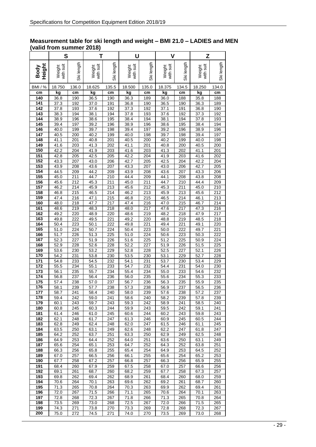#### **Measurement table for ski length and weight – BMI 21.0 – LADIES and MEN (valid from summer 2018)**

|                         | S                         |                  | Т                        |            | U                   |            | V            |                         | Z                   |                         |  |
|-------------------------|---------------------------|------------------|--------------------------|------------|---------------------|------------|--------------|-------------------------|---------------------|-------------------------|--|
| Height<br>Body          | with suit<br>Weight       | Ski length       | with suit<br>Weight      | Ski length | with suit<br>Weight | Ski length |              | Ski length              | with suit<br>Weight | Ski length              |  |
| <b>BMI</b> / %          | 18.750                    | 136.0            | 18.625                   | 135.5      | 18.500              | 135.0      | 18.375       | 134.5                   | 18.250              | 134.0                   |  |
| cm                      | kg                        | cm               | kg                       | cm         | kg                  | cm         | kg           | cm                      | kg                  | cm                      |  |
| 140<br>141              | 36.8<br>$\overline{37.3}$ | 190<br>192       | 36.5<br>37.0             | 190<br>191 | 36.3<br>36.8        | 189<br>190 | 36.0<br>36.5 | 188<br>190              | 35.8<br>36.3        | 188<br>189              |  |
| 142                     | 37.8                      | 193              | 37.6                     | 192        | 37.3                | 192        | 37.1         | 191                     | 36.8                | 190                     |  |
| 143                     | 38.3                      | 194              | 38.1                     | 194        | 37.8                | 193        | 37.6         | 192                     | 37.3                | 192                     |  |
| 144                     | 38.9                      | 196              | 38.6                     | 195        | 38.4                | 194        | 38.1         | 194                     | 37.8                | 193                     |  |
| 145<br>146              | 39.4<br>40.0              | 197<br>199       | 39.2<br>39.7             | 196<br>198 | 38.9<br>39.4        | 196<br>197 | 38.6<br>39.2 | 195<br>196              | 38.4<br>38.9        | 194<br>196              |  |
| 147                     | 40.5                      | 200              | $\overline{40.2}$        | 199        | 40.0                | 198        | 39.7         | 198                     | 39.4                | 197                     |  |
| 148                     | 41.1                      | 201              | 40.8                     | 201        | 40.5                | 200        | 40.2         | 199                     | 40.0                | 198                     |  |
| 149                     | 41.6                      | 203              | 41.3                     | 202        | 41.1                | 201        | 40.8         | 200                     | 40.5                | 200                     |  |
| 150<br>151              | 42.2<br>42.8              | 204<br>205       | 41.9<br>42.5             | 203<br>205 | 41.6<br>42.2        | 203<br>204 | 41.3<br>41.9 | 202<br>203              | 41.1<br>41.6        | 201<br>202              |  |
| 152                     | 43.3                      | 207              | 43.0                     | 206        | 42.7                | 205        | 42.5         | 204                     | 42.2                | 204                     |  |
| <u>153</u>              | 43.9                      | 208              | 43.6                     | 207        | 43.3                | 207        | 43.0         | 206                     | 42.7                | 205                     |  |
| 154                     | 44.5                      | 209              | 44.2                     | 209        | 43.9                | 208        | 43.6         | 207                     | 43.3                | 206                     |  |
| 155<br>156              | 45.0<br>45.6              | 211              | 44.7                     | 210        | 44.4<br>45.0        | 209        | 44.1<br>44.7 | 208<br>$\overline{210}$ | 43.8<br>44.4        | 208                     |  |
| 157                     | 46.2                      | 212<br>214       | 45.3<br>45.9             | 211<br>213 | 45.6                | 211<br>212 | 45.3         | 211                     | 45.0                | 209<br>$\overline{210}$ |  |
| 158                     | 46.8                      | $\overline{215}$ | 46.5                     | 214        | 46.2                | 213        | 45.9         | 213                     | 45.6                | 212                     |  |
| 159                     | 47.4                      | 216              | 47.1                     | 215        | 46.8                | 215        | 46.5         | 214                     | 46.1                | 213                     |  |
| 160                     | 48.0                      | 218              | 47.7                     | 217        | 47.4                | 216        | 47.0         | 215                     | 46.7                | $\overline{214}$        |  |
| 161<br>162              | 48.6<br>49.2              | 219<br>220       | 48.3<br>48.9             | 218<br>220 | 48.0<br>48.6        | 217<br>219 | 47.6<br>48.2 | 217<br>218              | 47.3<br>47.9        | 216<br>217              |  |
| 163                     | 49.8                      | 222              | 49.5                     | 221        | 49.2                | 220        | 48.8         | 219                     | 48.5                | 218                     |  |
| 164                     | 50.4                      | 223              | 50.1                     | 222        | 49.8                | 221        | 49.4         | $\overline{221}$        | 49.1                | 220                     |  |
| 165                     | 51.0                      | 224              | 50.7                     | 224        | 50.4                | 223        | 50.0         | 222                     | 49.7                | $\overline{221}$        |  |
| 166<br>167              | $\overline{51.7}$<br>52.3 | 226<br>227       | 51.3<br>51.9             | 225<br>226 | 51.0<br>51.6        | 224<br>225 | 50.6<br>51.2 | 223<br>225              | 50.3<br>50.9        | 222<br>224              |  |
| 168                     | 52.9                      | 228              | 52.6                     | 228        | 52.2                | 227        | 51.9         | 226                     | 51.5                | 225                     |  |
| 169                     | 53.6                      | 230              | 53.2                     | 229        | 52.8                | 228        | 52.5         | 227                     | 52.1                | 226                     |  |
| 170                     | 54.2                      | 231              | 53.8                     | 230        | 53.5                | 230        | 53.1         | 229                     | 52.7                | 228                     |  |
| $\overline{171}$<br>172 | 54.8<br>55.5              | 233<br>234       | 54.5<br>55.1             | 232<br>233 | 54.1<br>54.7        | 231<br>232 | 53.7<br>54.4 | 230<br>231              | 53.4<br>54.0        | 229<br>230              |  |
| 173                     | 56.1                      | 235              | 55.7                     | 234        | 55.4                | 234        | 55.0         | 233                     | 54.6                | 232                     |  |
| 174                     | 56.8                      | 237              | 56.4                     | 236        | 56.0                | 235        | 55.6         | 234                     | 55.3                | 233                     |  |
| 175                     | $\overline{57.4}$         | 238              | $\frac{1}{57.0}$         | 237        | 56.7                | 236        | 56.3         | 235                     | 55.9                | 235                     |  |
| 176<br>177              | 58.1                      | 239<br>241       | $\frac{1}{57.7}$<br>58.4 | 238<br>240 | 57.3<br>58.0        | 238        | 56.9<br>57.6 | 237<br>238              | 56.5<br>57.2        | 236                     |  |
| 178                     | 58.7<br>59.4              | 242              | 59.0                     | 241        | 58.6                | 239<br>240 | 58.2         | 239                     | 57.8                | 237<br>239              |  |
| 179                     | 60.1                      | 243              | 59.7                     | 243        | 59.3                | 242        | 58.9         | 241                     | 58.5                | 240                     |  |
| 180                     | 60.8                      | 245              | 60.3                     | 244        | 59.9                | 243        | 59.5         | 242                     | 59.1                | 241                     |  |
| 181                     | 61.4                      | 246              | 61.0                     | 245        | 60.6                | 244        | 60.2         | 243                     | 59.8                | 243                     |  |
| 182<br>183              | 62.1<br>62.8              | 248<br>249       | 61.7<br>62.4             | 247<br>248 | 61.3<br>62.0        | 246<br>247 | 60.9<br>61.5 | 245<br>246              | 60.5<br>61.1        | 244<br>245              |  |
| 184                     | 63.5                      | 250              | 63.1                     | 249        | 62.6                | 248        | 62.2         | 247                     | 61.8                | 247                     |  |
| 185                     | 64.2                      | 252              | 63.7                     | 251        | 63.3                | 250        | 62.9         | 249                     | 62.5                | 248                     |  |
| 186                     | 64.9                      | 253              | 64.4                     | 252        | 64.0                | 251        | 63.6         | 250                     | 63.1                | 249                     |  |
| 187<br>188              | 65.6<br>66.3              | 254<br>256       | 65.1<br>65.8             | 253<br>255 | 64.7<br>65.4        | 252<br>254 | 64.3<br>64.9 | 252<br>253              | 63.8<br>64.5        | 251<br>252              |  |
| 189                     | 67.0                      | 257              | 66.5                     | 256        | 66.1                | 255        | 65.6         | 254                     | 65.2                | 253                     |  |
| 190                     | 67.7                      | 258              | 67.2                     | 257        | 66.8                | 257        | 66.3         | 256                     | 65.9                | 255                     |  |
| 191                     | 68.4                      | 260              | 67.9                     | 259        | 67.5                | 258        | 67.0         | 257                     | 66.6                | 256                     |  |
| 192<br>193              | 69.1                      | 261              | 68.7                     | 260        | 68.2                | 259        | 67.7         | 258                     | 67.3                | 257                     |  |
| 194                     | 69.8<br>70.6              | 262<br>264       | 69.4<br>70.1             | 262<br>263 | 68.9<br>69.6        | 261<br>262 | 68.4<br>69.2 | 260<br>261              | 68.0<br>68.7        | 259<br>260              |  |
| 195                     | 71.3                      | 265              | 70.8                     | 264        | 70.3                | 263        | 69.9         | 262                     | 69.4                | 261                     |  |
| 196                     | 72.0                      | 267              | 71.5                     | 266        | 71.1                | 265        | 70.6         | 264                     | 70.1                | 263                     |  |
| 197                     | 72.8                      | 268              | 72.3                     | 267        | 71.8                | 266        | 71.3         | 265                     | 70.8                | 264                     |  |
| 198<br>199              | 73.5<br>74.3              | 269<br>271       | 73.0<br>73.8             | 268<br>270 | 72.5<br>73.3        | 267<br>269 | 72.0<br>72.8 | 266<br>268              | 71.5<br>72.3        | 265<br>267              |  |
| 200                     | 75.0                      | 272              | 74.5                     | 271        | 74.0                | 270        | 73.5         | 269                     | 73.0                | 268                     |  |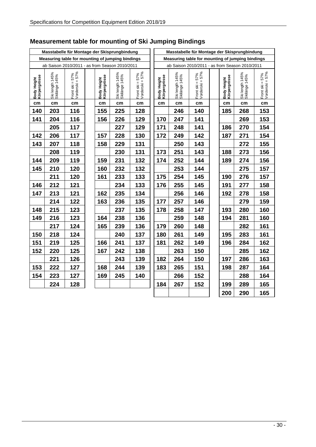|                             |                                  | Masstabelle für Montage der Skisprungbindung     |                             |                                  |                                    |                             |                                                  | Masstabelle für Montage der Skisprungbindung |  |                             |                                  |                                    |
|-----------------------------|----------------------------------|--------------------------------------------------|-----------------------------|----------------------------------|------------------------------------|-----------------------------|--------------------------------------------------|----------------------------------------------|--|-----------------------------|----------------------------------|------------------------------------|
|                             |                                  | Measuring table for mounting of jumping bindings |                             |                                  |                                    |                             | Measuring table for mounting of jumping bindings |                                              |  |                             |                                  |                                    |
|                             |                                  | ab Saison 2010/2011 - as from Season 2010/2011   |                             |                                  |                                    |                             | ab Saison 2010/2011 - as from Season 2010/2011   |                                              |  |                             |                                  |                                    |
| Body Height<br>Körpergrösse | Ski length 145%<br>Skilänge 145% | Front ski = 57%<br>Vorderski = 57%               | Body Height<br>Körpergrösse | Ski length 145%<br>Skilänge 145% | Front ski = 57%<br>Vorderski = 57% | Body Height<br>Körpergrösse | Ski length 145%<br>Skilänge 145%                 | Front ski = 57%<br>Vorderski = 57%           |  | Body Height<br>Körpergrösse | Ski length 145%<br>Skilänge 145% | Front ski = 57%<br>Vorderski = 57% |
| cm                          | cm                               | cm                                               | cm                          | cm                               | cm                                 | cm                          | cm                                               | cm                                           |  | cm                          | cm                               | cm                                 |
| 140                         | 203                              | 116                                              | 155                         | 225                              | 128                                |                             | 246                                              | 140                                          |  | 185                         | 268                              | 153                                |
| 141                         | 204                              | 116                                              | 156                         | 226                              | 129                                | 170                         | 247                                              | 141                                          |  |                             | 269                              | 153                                |
|                             | 205                              | 117                                              |                             | 227                              | 129                                | 171                         | 248                                              | 141                                          |  | 186                         | 270                              | 154                                |
| 142                         | 206                              | 117                                              | 157                         | 228                              | 130                                | 172                         | 249                                              | 142                                          |  | 187                         | 271                              | 154                                |
| 143                         | 207                              | 118                                              | 158                         | 229                              | 131                                |                             | 250                                              | 143                                          |  |                             | 272                              | 155                                |
|                             | 208                              | 119                                              |                             | 230                              | 131                                | 173                         | 251                                              | 143                                          |  | 188                         | 273                              | 156                                |
| 144                         | 209                              | 119                                              | 159                         | 231                              | 132                                | 174                         | 252                                              | 144                                          |  | 189                         | 274                              | 156                                |
| 145                         | 210                              | 120                                              | 160                         | 232                              | 132                                |                             | 253                                              | 144                                          |  |                             | 275                              | 157                                |
|                             | 211                              | 120                                              | 161                         | 233                              | 133                                | 175                         | 254                                              | 145                                          |  | 190                         | 276                              | 157                                |
| 146                         | 212                              | 121                                              |                             | 234                              | 133                                | 176                         | 255                                              | 145                                          |  | 191                         | 277                              | 158                                |
| 147                         | 213                              | 121                                              | 162                         | 235                              | 134                                |                             | 256                                              | 146                                          |  | 192                         | 278                              | 158                                |
|                             | 214                              | 122                                              | 163                         | 236                              | 135                                | 177                         | 257                                              | 146                                          |  |                             | 279                              | 159                                |
| 148                         | 215                              | 123                                              |                             | 237                              | 135                                | 178                         | 258                                              | 147                                          |  | 193                         | 280                              | 160                                |
| 149                         | 216                              | 123                                              | 164                         | 238                              | 136                                |                             | 259                                              | 148                                          |  | 194                         | 281                              | 160                                |
|                             | 217                              | 124                                              | 165                         | 239                              | 136                                | 179                         | 260                                              | 148                                          |  |                             | 282                              | 161                                |
| 150                         | 218                              | 124                                              |                             | 240                              | 137                                | 180                         | 261                                              | 149                                          |  | 195                         | 283                              | 161                                |
| 151                         | 219                              | 125                                              | 166                         | 241                              | 137                                | 181                         | 262                                              | 149                                          |  | 196                         | 284                              | 162                                |
| 152                         | 220                              | 125                                              | 167                         | 242                              | 138                                |                             | 263                                              | 150                                          |  |                             | 285                              | 162                                |
|                             | 221                              | 126                                              |                             | 243                              | 139                                | 182                         | 264                                              | 150                                          |  | 197                         | 286                              | 163                                |
| 153                         | 222                              | 127                                              | 168                         | 244                              | 139                                | 183                         | 265                                              | 151                                          |  | 198                         | 287                              | 164                                |
| 154                         | 223                              | 127                                              | 169                         | 245                              | 140                                |                             | 266                                              | 152                                          |  |                             | 288                              | 164                                |
|                             | 224                              | 128                                              |                             |                                  |                                    | 184                         | 267                                              | 152                                          |  | 199                         | 289                              | 165                                |
|                             |                                  |                                                  |                             |                                  |                                    |                             |                                                  |                                              |  | 200                         | 290                              | 165                                |

# **Measurement table for mounting of Ski Jumping Bindings**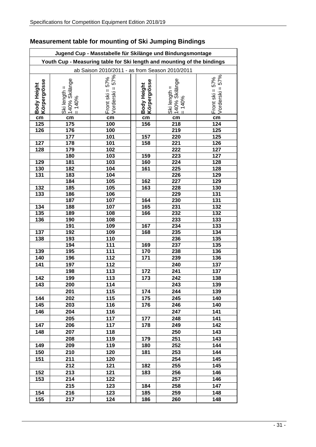|                             |                                                        | Jugend Cup - Masstabelle für Skilänge und Bindungsmontage               |                             |                                                         |                                           |
|-----------------------------|--------------------------------------------------------|-------------------------------------------------------------------------|-----------------------------|---------------------------------------------------------|-------------------------------------------|
|                             |                                                        | Youth Cup - Measuring table for Ski length and mounting of the bindings |                             |                                                         |                                           |
|                             |                                                        | ab Saison 2010/2011 - as from Season 2010/2011                          |                             |                                                         |                                           |
| Körpergrösse<br>Body Height | 140% Skilänge<br>$\parallel$<br>Ski length<br>$= 140%$ | $=57%$<br>Front ski = $57\%$<br>Vorderski                               | Körpergrösse<br>Body Height | 140% Skilänge<br>$\mathsf{I}$<br>Ski length<br>$= 140%$ | $=57%$<br>Front ski = $57\%$<br>Vorderski |
|                             |                                                        |                                                                         |                             |                                                         |                                           |
| cm                          | cm                                                     | cm                                                                      | cm                          | cm                                                      | cm                                        |
| 125                         | 175                                                    | 100                                                                     | 156                         | 218                                                     | 124                                       |
| 126                         | 176                                                    | 100                                                                     |                             | 219                                                     | 125                                       |
|                             | 177                                                    | 101                                                                     | 157                         | 220<br>221                                              | 125                                       |
| 127<br>128                  | 178<br>179                                             | 101<br>102                                                              | 158                         | 222                                                     | 126<br>127                                |
|                             | 180                                                    | 103                                                                     | 159                         | 223                                                     | 127                                       |
| 129                         | 181                                                    | 103                                                                     | 160                         | 224                                                     | 128                                       |
| 130                         | 182                                                    | 104                                                                     | 161                         | 225                                                     | 128                                       |
| 131                         | 183                                                    | 104                                                                     |                             | 226                                                     | 129                                       |
|                             | 184                                                    | 105                                                                     | 162                         | 227                                                     | 129                                       |
| 132                         | 185                                                    | 105                                                                     | 163                         | 228                                                     | 130                                       |
| 133                         | 186                                                    | 106                                                                     |                             | 229                                                     | 131                                       |
|                             | 187                                                    | 107                                                                     | 164                         | 230                                                     | 131                                       |
| 134                         | 188                                                    | 107                                                                     | 165                         | 231                                                     | 132                                       |
| 135                         | 189                                                    | 108                                                                     | 166                         | 232                                                     | 132                                       |
| 136                         | 190                                                    | 108                                                                     |                             | 233                                                     | 133                                       |
|                             | 191                                                    | 109                                                                     | 167                         | 234                                                     | 133                                       |
| 137                         | 192                                                    | 109                                                                     | 168                         | 235                                                     | 134                                       |
| 138                         | 193                                                    | 110                                                                     |                             | 236                                                     | 135                                       |
|                             | 194                                                    | 111                                                                     | 169                         | 237                                                     | 135                                       |
| 139                         | 195                                                    | 111                                                                     | 170                         | 238                                                     | 136                                       |
| 140                         | 196                                                    | 112                                                                     | 171                         | 239                                                     | 136                                       |
| 141                         | 197                                                    | 112                                                                     |                             | 240                                                     | 137                                       |
|                             | 198                                                    | 113                                                                     | 172                         | 241                                                     | 137                                       |
| 142                         | 199                                                    | 113                                                                     | 173                         | 242                                                     | 138                                       |
| 143                         | 200                                                    | 114                                                                     |                             | 243                                                     | 139                                       |
|                             | 201                                                    | 115                                                                     | 174                         | 244                                                     | 139                                       |
| 144                         | 202                                                    | 115                                                                     | 175                         | 245                                                     | 140                                       |
| 145                         | 203                                                    | 116                                                                     | 176                         | 246                                                     | 140                                       |
| 146                         | 204                                                    | 116                                                                     |                             | 247                                                     | 141                                       |
|                             | 205                                                    | 117                                                                     | 177                         | 248                                                     | 141                                       |
| 147                         | 206                                                    | 117                                                                     | 178                         | 249                                                     | 142                                       |
| 148                         | 207                                                    | 118                                                                     |                             | 250                                                     | 143                                       |
|                             | 208                                                    | 119                                                                     | 179                         | 251                                                     | 143                                       |
| 149                         | 209                                                    | 119                                                                     | 180                         | 252                                                     | 144                                       |
| 150                         | 210                                                    | 120                                                                     | 181                         | 253                                                     | 144                                       |
| 151                         | 211                                                    | 120                                                                     |                             | 254                                                     | 145                                       |
|                             | 212                                                    | 121                                                                     | 182                         | 255                                                     | 145                                       |
| 152                         | 213                                                    | 121                                                                     | 183                         | 256                                                     | 146                                       |
| 153                         | 214                                                    | 122                                                                     |                             | 257                                                     | 146                                       |
|                             | 215                                                    | 123                                                                     | 184                         | 258                                                     | 147                                       |
| 154                         |                                                        | 123                                                                     |                             |                                                         | 148                                       |
|                             | 216                                                    |                                                                         | 185                         | 259<br>260                                              | 148                                       |
| 155                         | 217                                                    | 124                                                                     | 186                         |                                                         |                                           |

## **Measurement table for mounting of Ski Jumping Bindings**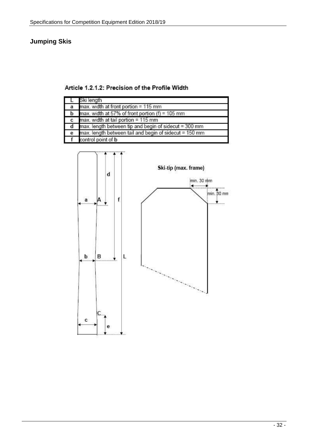### **Jumping Skis**

Article 1.2.1.2: Precision of the Profile Width

|   | Ski length                                                 |
|---|------------------------------------------------------------|
| a | max. width at front portion = 115 mm                       |
|   | <b>b</b> max. width at 57% of front portion $(f) = 105$ mm |
|   | max. width at tail portion = 115 mm                        |
|   | max. length between tip and begin of sidecut = 300 mm      |
| е | max. length between tail and begin of sidecut = 150 mm     |
|   | control point of b                                         |

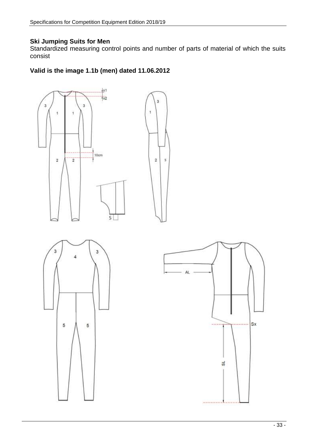### **Ski Jumping Suits for Men**

Standardized measuring control points and number of parts of material of which the suits consist

### **Valid is the image 1.1b (men) dated 11.06.2012**

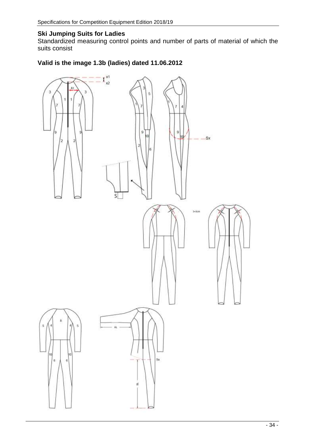### **Ski Jumping Suits for Ladies**

Standardized measuring control points and number of parts of material of which the suits consist